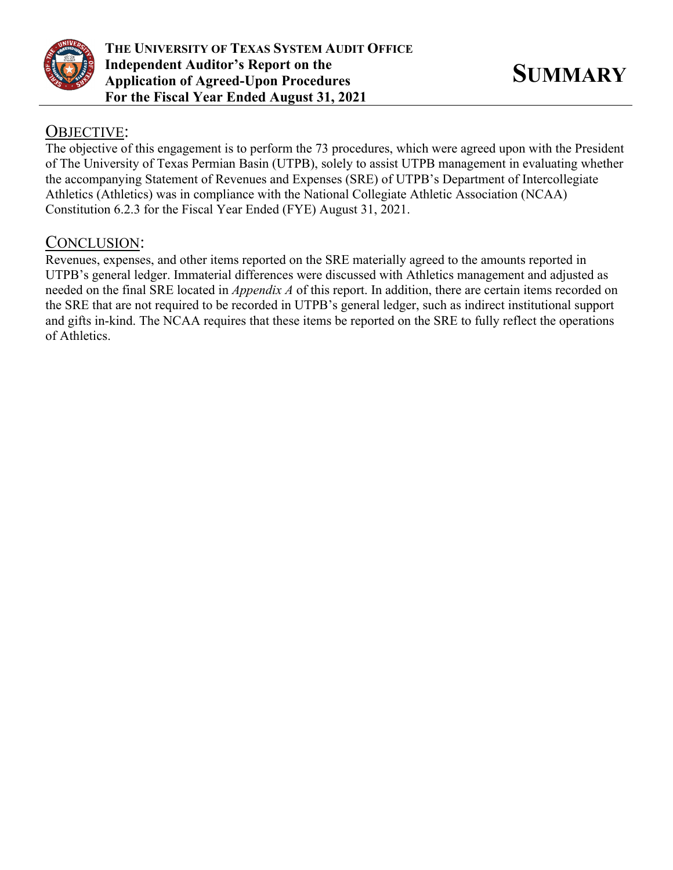

## OBJECTIVE:

The objective of this engagement is to perform the 73 procedures, which were agreed upon with the President of The University of Texas Permian Basin (UTPB), solely to assist UTPB management in evaluating whether the accompanying Statement of Revenues and Expenses (SRE) of UTPB's Department of Intercollegiate Athletics (Athletics) was in compliance with the National Collegiate Athletic Association (NCAA) Constitution 6.2.3 for the Fiscal Year Ended (FYE) August 31, 2021.

## CONCLUSION:

Revenues, expenses, and other items reported on the SRE materially agreed to the amounts reported in UTPB's general ledger. Immaterial differences were discussed with Athletics management and adjusted as needed on the final SRE located in *Appendix A* of this report. In addition, there are certain items recorded on the SRE that are not required to be recorded in UTPB's general ledger, such as indirect institutional support and gifts in-kind. The NCAA requires that these items be reported on the SRE to fully reflect the operations of Athletics.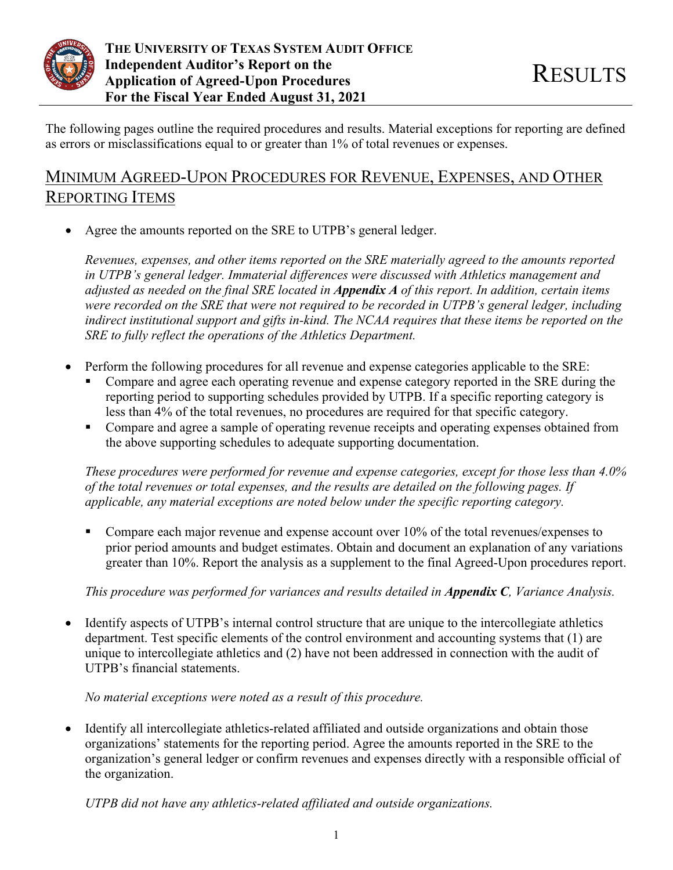

The following pages outline the required procedures and results. Material exceptions for reporting are defined as errors or misclassifications equal to or greater than 1% of total revenues or expenses.

# MINIMUM AGREED-UPON PROCEDURES FOR REVENUE, EXPENSES, AND OTHER REPORTING ITEMS

Agree the amounts reported on the SRE to UTPB's general ledger.

*Revenues, expenses, and other items reported on the SRE materially agreed to the amounts reported in UTPB's general ledger. Immaterial differences were discussed with Athletics management and adjusted as needed on the final SRE located in Appendix A of this report. In addition, certain items were recorded on the SRE that were not required to be recorded in UTPB's general ledger, including indirect institutional support and gifts in-kind. The NCAA requires that these items be reported on the SRE to fully reflect the operations of the Athletics Department.* 

- Perform the following procedures for all revenue and expense categories applicable to the SRE:
	- Compare and agree each operating revenue and expense category reported in the SRE during the reporting period to supporting schedules provided by UTPB. If a specific reporting category is less than 4% of the total revenues, no procedures are required for that specific category.
	- Compare and agree a sample of operating revenue receipts and operating expenses obtained from the above supporting schedules to adequate supporting documentation.

*These procedures were performed for revenue and expense categories, except for those less than 4.0% of the total revenues or total expenses, and the results are detailed on the following pages. If applicable, any material exceptions are noted below under the specific reporting category.* 

Compare each major revenue and expense account over  $10\%$  of the total revenues/expenses to prior period amounts and budget estimates. Obtain and document an explanation of any variations greater than 10%. Report the analysis as a supplement to the final Agreed-Upon procedures report.

*This procedure was performed for variances and results detailed in Appendix C, Variance Analysis.* 

 Identify aspects of UTPB's internal control structure that are unique to the intercollegiate athletics department. Test specific elements of the control environment and accounting systems that (1) are unique to intercollegiate athletics and (2) have not been addressed in connection with the audit of UTPB's financial statements.

## *No material exceptions were noted as a result of this procedure.*

• Identify all intercollegiate athletics-related affiliated and outside organizations and obtain those organizations' statements for the reporting period. Agree the amounts reported in the SRE to the organization's general ledger or confirm revenues and expenses directly with a responsible official of the organization.

*UTPB did not have any athletics-related affiliated and outside organizations.*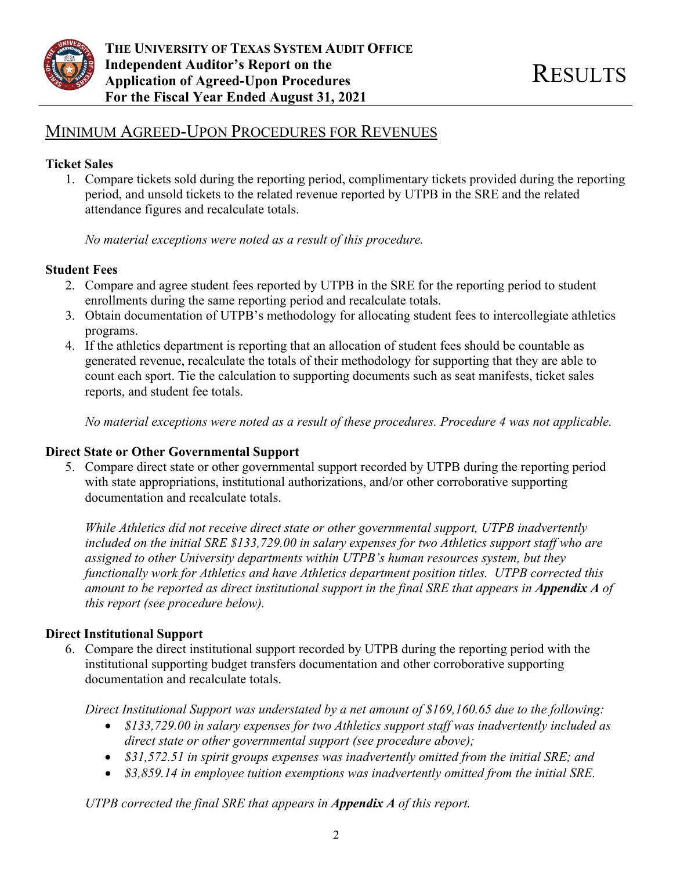

## MINIMUM AGREED-UPON PROCEDURES FOR REVENUES

## **Ticket Sales**

1. Compare tickets sold during the reporting period, complimentary tickets provided during the reporting period, and unsold tickets to the related revenue reported by UTPB in the SRE and the related attendance figures and recalculate totals.

*No material exceptions were noted as a result of this procedure.* 

## **Student Fees**

- 2. Compare and agree student fees reported by UTPB in the SRE for the reporting period to student enrollments during the same reporting period and recalculate totals.
- 3. Obtain documentation of UTPB's methodology for allocating student fees to intercollegiate athletics programs.
- 4. If the athletics department is reporting that an allocation of student fees should be countable as generated revenue, recalculate the totals of their methodology for supporting that they are able to count each sport. Tie the calculation to supporting documents such as seat manifests, ticket sales reports, and student fee totals.

*No material exceptions were noted as a result of these procedures. Procedure 4 was not applicable.* 

### **Direct State or Other Governmental Support**

5. Compare direct state or other governmental support recorded by UTPB during the reporting period with state appropriations, institutional authorizations, and/or other corroborative supporting documentation and recalculate totals.

*While Athletics did not receive direct state or other governmental support, UTPB inadvertently included on the initial SRE \$133,729.00 in salary expenses for two Athletics support staff who are assigned to other University departments within UTPB's human resources system, but they functionally work for Athletics and have Athletics department position titles. UTPB corrected this amount to be reported as direct institutional support in the final SRE that appears in Appendix A of this report (see procedure below).* 

## **Direct Institutional Support**

6. Compare the direct institutional support recorded by UTPB during the reporting period with the institutional supporting budget transfers documentation and other corroborative supporting documentation and recalculate totals.

*Direct Institutional Support was understated by a net amount of \$169,160.65 due to the following:* 

- *\$133,729.00 in salary expenses for two Athletics support staff was inadvertently included as direct state or other governmental support (see procedure above);*
- *\$31,572.51 in spirit groups expenses was inadvertently omitted from the initial SRE; and*
- *\$3,859.14 in employee tuition exemptions was inadvertently omitted from the initial SRE.*

*UTPB corrected the final SRE that appears in Appendix A of this report.*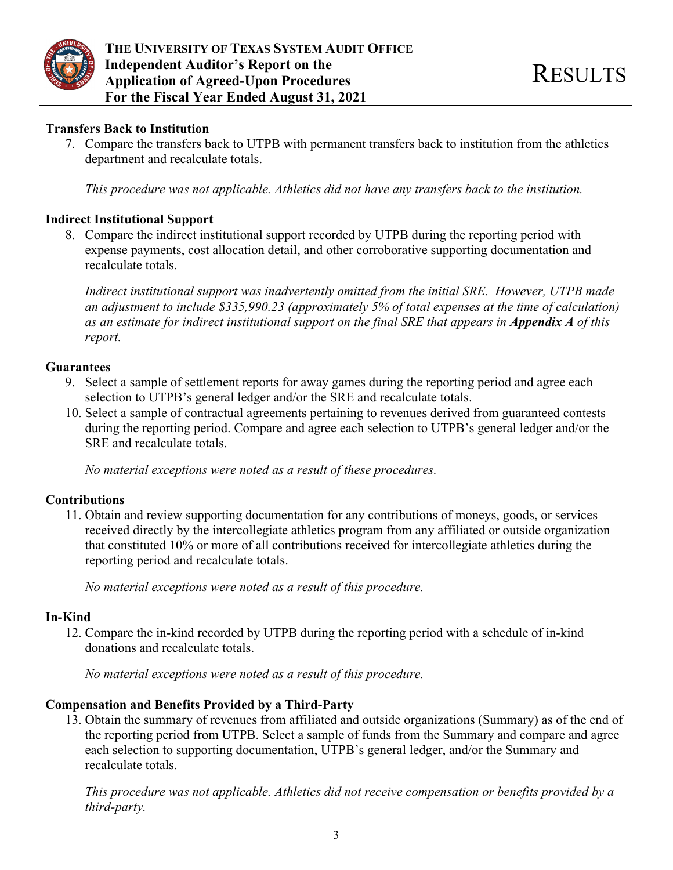

### **Transfers Back to Institution**

7. Compare the transfers back to UTPB with permanent transfers back to institution from the athletics department and recalculate totals.

*This procedure was not applicable. Athletics did not have any transfers back to the institution.* 

## **Indirect Institutional Support**

8. Compare the indirect institutional support recorded by UTPB during the reporting period with expense payments, cost allocation detail, and other corroborative supporting documentation and recalculate totals.

*Indirect institutional support was inadvertently omitted from the initial SRE. However, UTPB made an adjustment to include \$335,990.23 (approximately 5% of total expenses at the time of calculation) as an estimate for indirect institutional support on the final SRE that appears in <i>Appendix A* of this *report.* 

### **Guarantees**

- 9. Select a sample of settlement reports for away games during the reporting period and agree each selection to UTPB's general ledger and/or the SRE and recalculate totals.
- 10. Select a sample of contractual agreements pertaining to revenues derived from guaranteed contests during the reporting period. Compare and agree each selection to UTPB's general ledger and/or the SRE and recalculate totals.

*No material exceptions were noted as a result of these procedures.* 

### **Contributions**

11. Obtain and review supporting documentation for any contributions of moneys, goods, or services received directly by the intercollegiate athletics program from any affiliated or outside organization that constituted 10% or more of all contributions received for intercollegiate athletics during the reporting period and recalculate totals.

*No material exceptions were noted as a result of this procedure.* 

### **In-Kind**

12. Compare the in-kind recorded by UTPB during the reporting period with a schedule of in-kind donations and recalculate totals.

*No material exceptions were noted as a result of this procedure.* 

### **Compensation and Benefits Provided by a Third-Party**

13. Obtain the summary of revenues from affiliated and outside organizations (Summary) as of the end of the reporting period from UTPB. Select a sample of funds from the Summary and compare and agree each selection to supporting documentation, UTPB's general ledger, and/or the Summary and recalculate totals.

*This procedure was not applicable. Athletics did not receive compensation or benefits provided by a third-party.*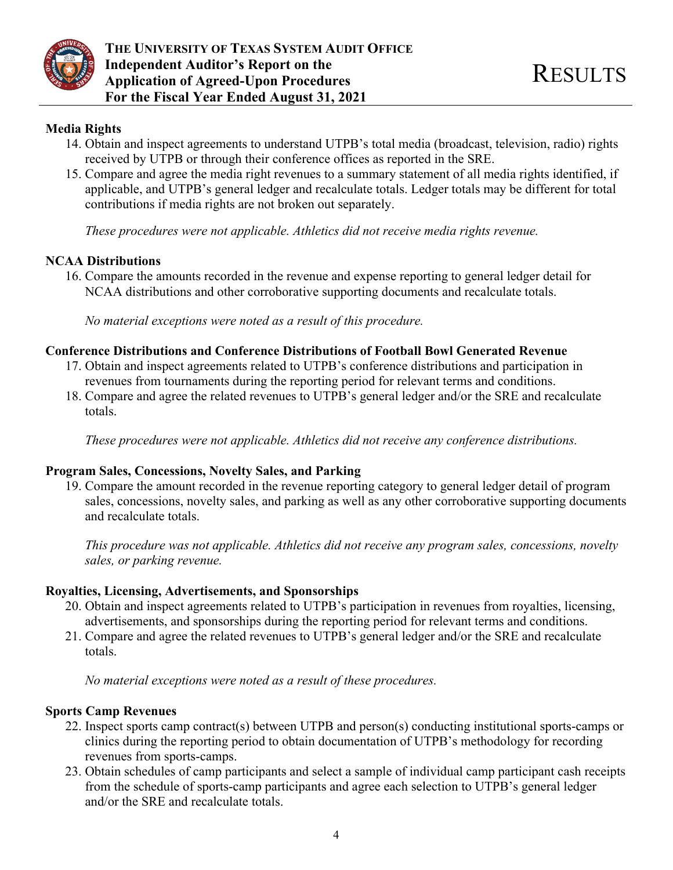

## **Media Rights**

- 14. Obtain and inspect agreements to understand UTPB's total media (broadcast, television, radio) rights received by UTPB or through their conference offices as reported in the SRE.
- 15. Compare and agree the media right revenues to a summary statement of all media rights identified, if applicable, and UTPB's general ledger and recalculate totals. Ledger totals may be different for total contributions if media rights are not broken out separately.

*These procedures were not applicable. Athletics did not receive media rights revenue.* 

## **NCAA Distributions**

16. Compare the amounts recorded in the revenue and expense reporting to general ledger detail for NCAA distributions and other corroborative supporting documents and recalculate totals.

*No material exceptions were noted as a result of this procedure.* 

## **Conference Distributions and Conference Distributions of Football Bowl Generated Revenue**

- 17. Obtain and inspect agreements related to UTPB's conference distributions and participation in revenues from tournaments during the reporting period for relevant terms and conditions.
- 18. Compare and agree the related revenues to UTPB's general ledger and/or the SRE and recalculate totals.

*These procedures were not applicable. Athletics did not receive any conference distributions.* 

## **Program Sales, Concessions, Novelty Sales, and Parking**

19. Compare the amount recorded in the revenue reporting category to general ledger detail of program sales, concessions, novelty sales, and parking as well as any other corroborative supporting documents and recalculate totals.

*This procedure was not applicable. Athletics did not receive any program sales, concessions, novelty sales, or parking revenue.* 

### **Royalties, Licensing, Advertisements, and Sponsorships**

- 20. Obtain and inspect agreements related to UTPB's participation in revenues from royalties, licensing, advertisements, and sponsorships during the reporting period for relevant terms and conditions.
- 21. Compare and agree the related revenues to UTPB's general ledger and/or the SRE and recalculate totals.

*No material exceptions were noted as a result of these procedures.* 

## **Sports Camp Revenues**

- 22. Inspect sports camp contract(s) between UTPB and person(s) conducting institutional sports-camps or clinics during the reporting period to obtain documentation of UTPB's methodology for recording revenues from sports-camps.
- 23. Obtain schedules of camp participants and select a sample of individual camp participant cash receipts from the schedule of sports-camp participants and agree each selection to UTPB's general ledger and/or the SRE and recalculate totals.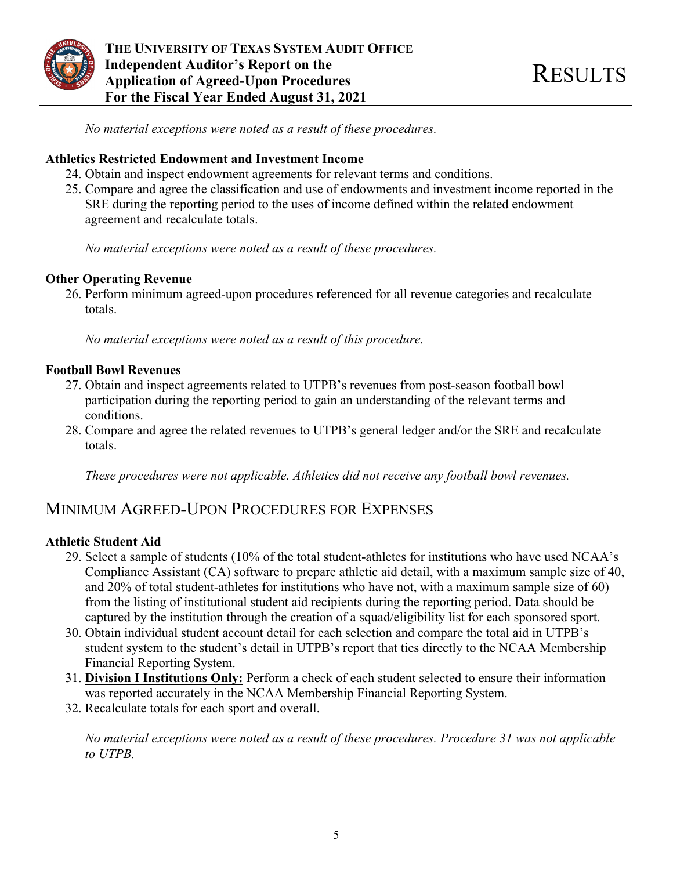

*No material exceptions were noted as a result of these procedures.* 

### **Athletics Restricted Endowment and Investment Income**

- 24. Obtain and inspect endowment agreements for relevant terms and conditions.
- 25. Compare and agree the classification and use of endowments and investment income reported in the SRE during the reporting period to the uses of income defined within the related endowment agreement and recalculate totals.

*No material exceptions were noted as a result of these procedures.* 

### **Other Operating Revenue**

26. Perform minimum agreed-upon procedures referenced for all revenue categories and recalculate totals.

*No material exceptions were noted as a result of this procedure.* 

## **Football Bowl Revenues**

- 27. Obtain and inspect agreements related to UTPB's revenues from post-season football bowl participation during the reporting period to gain an understanding of the relevant terms and conditions.
- 28. Compare and agree the related revenues to UTPB's general ledger and/or the SRE and recalculate totals.

*These procedures were not applicable. Athletics did not receive any football bowl revenues.* 

## MINIMUM AGREED-UPON PROCEDURES FOR EXPENSES

### **Athletic Student Aid**

- 29. Select a sample of students (10% of the total student-athletes for institutions who have used NCAA's Compliance Assistant (CA) software to prepare athletic aid detail, with a maximum sample size of 40, and 20% of total student-athletes for institutions who have not, with a maximum sample size of 60) from the listing of institutional student aid recipients during the reporting period. Data should be captured by the institution through the creation of a squad/eligibility list for each sponsored sport.
- 30. Obtain individual student account detail for each selection and compare the total aid in UTPB's student system to the student's detail in UTPB's report that ties directly to the NCAA Membership Financial Reporting System.
- 31. **Division I Institutions Only:** Perform a check of each student selected to ensure their information was reported accurately in the NCAA Membership Financial Reporting System.
- 32. Recalculate totals for each sport and overall.

*No material exceptions were noted as a result of these procedures. Procedure 31 was not applicable to UTPB.*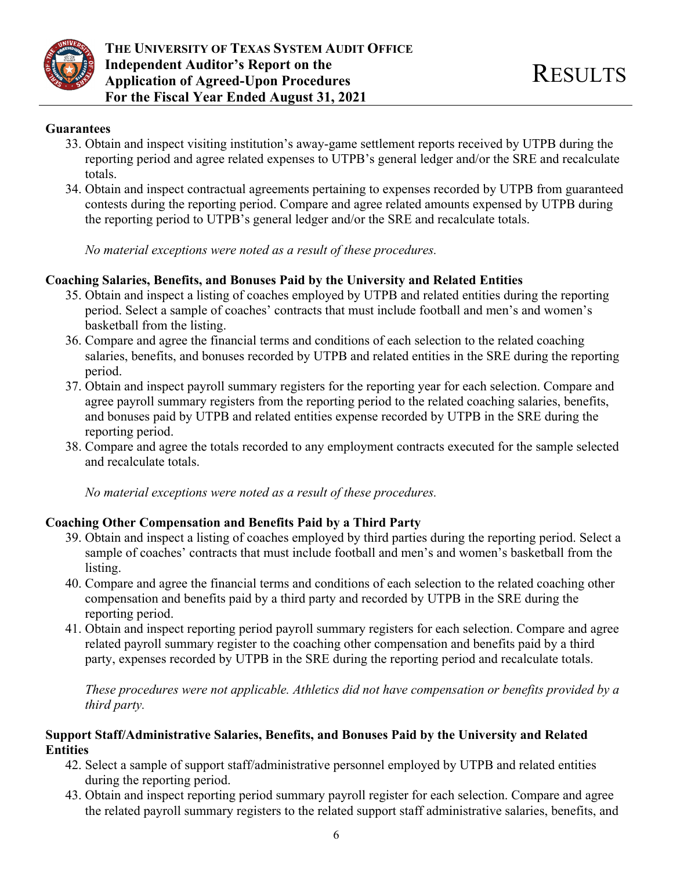

#### **Guarantees**

- 33. Obtain and inspect visiting institution's away-game settlement reports received by UTPB during the reporting period and agree related expenses to UTPB's general ledger and/or the SRE and recalculate totals.
- 34. Obtain and inspect contractual agreements pertaining to expenses recorded by UTPB from guaranteed contests during the reporting period. Compare and agree related amounts expensed by UTPB during the reporting period to UTPB's general ledger and/or the SRE and recalculate totals.

*No material exceptions were noted as a result of these procedures.* 

### **Coaching Salaries, Benefits, and Bonuses Paid by the University and Related Entities**

- 35. Obtain and inspect a listing of coaches employed by UTPB and related entities during the reporting period. Select a sample of coaches' contracts that must include football and men's and women's basketball from the listing.
- 36. Compare and agree the financial terms and conditions of each selection to the related coaching salaries, benefits, and bonuses recorded by UTPB and related entities in the SRE during the reporting period.
- 37. Obtain and inspect payroll summary registers for the reporting year for each selection. Compare and agree payroll summary registers from the reporting period to the related coaching salaries, benefits, and bonuses paid by UTPB and related entities expense recorded by UTPB in the SRE during the reporting period.
- 38. Compare and agree the totals recorded to any employment contracts executed for the sample selected and recalculate totals.

*No material exceptions were noted as a result of these procedures.* 

### **Coaching Other Compensation and Benefits Paid by a Third Party**

- 39. Obtain and inspect a listing of coaches employed by third parties during the reporting period. Select a sample of coaches' contracts that must include football and men's and women's basketball from the listing.
- 40. Compare and agree the financial terms and conditions of each selection to the related coaching other compensation and benefits paid by a third party and recorded by UTPB in the SRE during the reporting period.
- 41. Obtain and inspect reporting period payroll summary registers for each selection. Compare and agree related payroll summary register to the coaching other compensation and benefits paid by a third party, expenses recorded by UTPB in the SRE during the reporting period and recalculate totals.

*These procedures were not applicable. Athletics did not have compensation or benefits provided by a third party.* 

## **Support Staff/Administrative Salaries, Benefits, and Bonuses Paid by the University and Related Entities**

- 42. Select a sample of support staff/administrative personnel employed by UTPB and related entities during the reporting period.
- 43. Obtain and inspect reporting period summary payroll register for each selection. Compare and agree the related payroll summary registers to the related support staff administrative salaries, benefits, and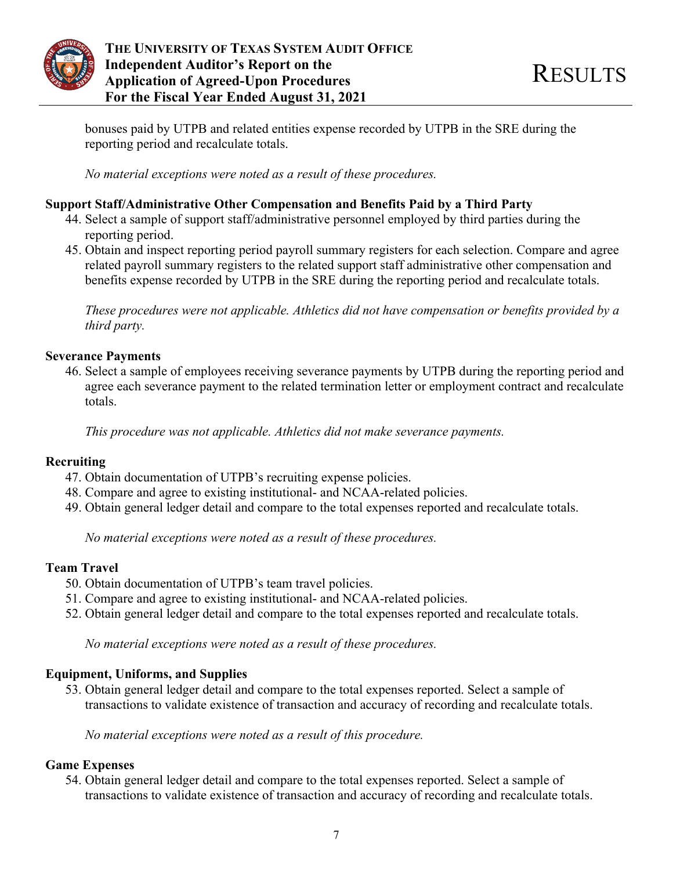

bonuses paid by UTPB and related entities expense recorded by UTPB in the SRE during the reporting period and recalculate totals.

*No material exceptions were noted as a result of these procedures.* 

## **Support Staff/Administrative Other Compensation and Benefits Paid by a Third Party**

- 44. Select a sample of support staff/administrative personnel employed by third parties during the reporting period.
- 45. Obtain and inspect reporting period payroll summary registers for each selection. Compare and agree related payroll summary registers to the related support staff administrative other compensation and benefits expense recorded by UTPB in the SRE during the reporting period and recalculate totals.

*These procedures were not applicable. Athletics did not have compensation or benefits provided by a third party.* 

## **Severance Payments**

46. Select a sample of employees receiving severance payments by UTPB during the reporting period and agree each severance payment to the related termination letter or employment contract and recalculate totals.

*This procedure was not applicable. Athletics did not make severance payments.* 

## **Recruiting**

- 47. Obtain documentation of UTPB's recruiting expense policies.
- 48. Compare and agree to existing institutional- and NCAA-related policies.
- 49. Obtain general ledger detail and compare to the total expenses reported and recalculate totals.

*No material exceptions were noted as a result of these procedures.* 

### **Team Travel**

- 50. Obtain documentation of UTPB's team travel policies.
- 51. Compare and agree to existing institutional- and NCAA-related policies.
- 52. Obtain general ledger detail and compare to the total expenses reported and recalculate totals.

*No material exceptions were noted as a result of these procedures.* 

## **Equipment, Uniforms, and Supplies**

53. Obtain general ledger detail and compare to the total expenses reported. Select a sample of transactions to validate existence of transaction and accuracy of recording and recalculate totals.

*No material exceptions were noted as a result of this procedure.* 

## **Game Expenses**

54. Obtain general ledger detail and compare to the total expenses reported. Select a sample of transactions to validate existence of transaction and accuracy of recording and recalculate totals.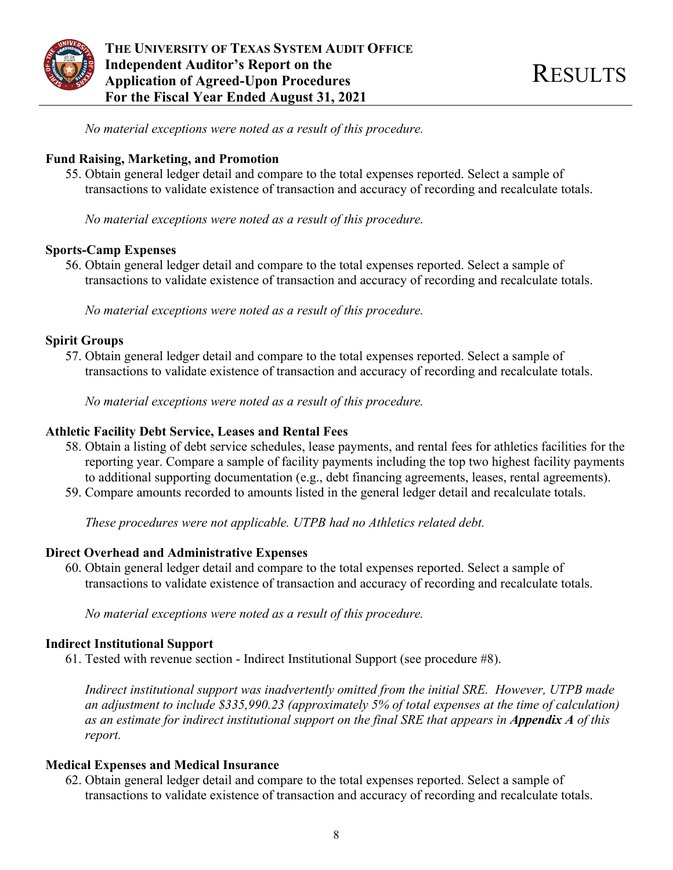

**THE UNIVERSITY OF TEXAS SYSTEM AUDIT OFFICE Independent Auditor's Report on the The Independent Auditor's Report on the set of the RESULTS**<br>Application of Agreed-Upon Procedures **For the Fiscal Year Ended August 31, 2021** 

*No material exceptions were noted as a result of this procedure.* 

### **Fund Raising, Marketing, and Promotion**

55. Obtain general ledger detail and compare to the total expenses reported. Select a sample of transactions to validate existence of transaction and accuracy of recording and recalculate totals.

*No material exceptions were noted as a result of this procedure.* 

### **Sports-Camp Expenses**

56. Obtain general ledger detail and compare to the total expenses reported. Select a sample of transactions to validate existence of transaction and accuracy of recording and recalculate totals.

*No material exceptions were noted as a result of this procedure.* 

## **Spirit Groups**

57. Obtain general ledger detail and compare to the total expenses reported. Select a sample of transactions to validate existence of transaction and accuracy of recording and recalculate totals.

*No material exceptions were noted as a result of this procedure.* 

## **Athletic Facility Debt Service, Leases and Rental Fees**

- 58. Obtain a listing of debt service schedules, lease payments, and rental fees for athletics facilities for the reporting year. Compare a sample of facility payments including the top two highest facility payments to additional supporting documentation (e.g., debt financing agreements, leases, rental agreements).
- 59. Compare amounts recorded to amounts listed in the general ledger detail and recalculate totals.

*These procedures were not applicable. UTPB had no Athletics related debt.* 

### **Direct Overhead and Administrative Expenses**

60. Obtain general ledger detail and compare to the total expenses reported. Select a sample of transactions to validate existence of transaction and accuracy of recording and recalculate totals.

*No material exceptions were noted as a result of this procedure.* 

### **Indirect Institutional Support**

61. Tested with revenue section - Indirect Institutional Support (see procedure #8).

*Indirect institutional support was inadvertently omitted from the initial SRE. However, UTPB made an adjustment to include \$335,990.23 (approximately 5% of total expenses at the time of calculation) as an estimate for indirect institutional support on the final SRE that appears in <i>Appendix A* of this *report.* 

### **Medical Expenses and Medical Insurance**

62. Obtain general ledger detail and compare to the total expenses reported. Select a sample of transactions to validate existence of transaction and accuracy of recording and recalculate totals.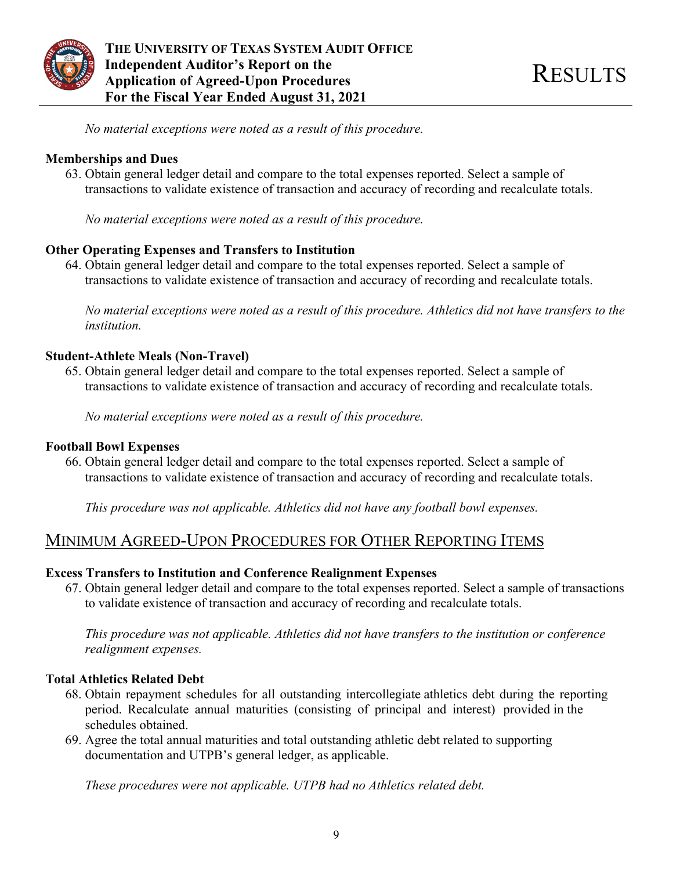

*No material exceptions were noted as a result of this procedure.* 

### **Memberships and Dues**

63. Obtain general ledger detail and compare to the total expenses reported. Select a sample of transactions to validate existence of transaction and accuracy of recording and recalculate totals.

*No material exceptions were noted as a result of this procedure.* 

## **Other Operating Expenses and Transfers to Institution**

64. Obtain general ledger detail and compare to the total expenses reported. Select a sample of transactions to validate existence of transaction and accuracy of recording and recalculate totals.

*No material exceptions were noted as a result of this procedure. Athletics did not have transfers to the institution.* 

## **Student-Athlete Meals (Non-Travel)**

65. Obtain general ledger detail and compare to the total expenses reported. Select a sample of transactions to validate existence of transaction and accuracy of recording and recalculate totals.

*No material exceptions were noted as a result of this procedure.* 

### **Football Bowl Expenses**

66. Obtain general ledger detail and compare to the total expenses reported. Select a sample of transactions to validate existence of transaction and accuracy of recording and recalculate totals.

*This procedure was not applicable. Athletics did not have any football bowl expenses.* 

## MINIMUM AGREED-UPON PROCEDURES FOR OTHER REPORTING ITEMS

### **Excess Transfers to Institution and Conference Realignment Expenses**

67. Obtain general ledger detail and compare to the total expenses reported. Select a sample of transactions to validate existence of transaction and accuracy of recording and recalculate totals.

*This procedure was not applicable. Athletics did not have transfers to the institution or conference realignment expenses.* 

### **Total Athletics Related Debt**

- 68. Obtain repayment schedules for all outstanding intercollegiate athletics debt during the reporting period. Recalculate annual maturities (consisting of principal and interest) provided in the schedules obtained.
- 69. Agree the total annual maturities and total outstanding athletic debt related to supporting documentation and UTPB's general ledger, as applicable.

*These procedures were not applicable. UTPB had no Athletics related debt.*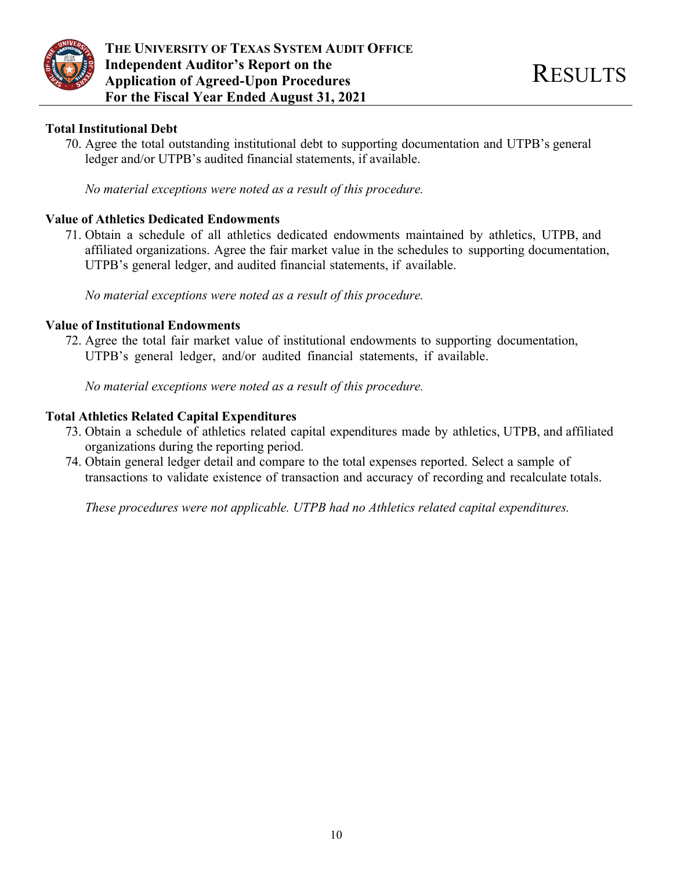

### **Total Institutional Debt**

70. Agree the total outstanding institutional debt to supporting documentation and UTPB's general ledger and/or UTPB's audited financial statements, if available.

*No material exceptions were noted as a result of this procedure.* 

### **Value of Athletics Dedicated Endowments**

71. Obtain a schedule of all athletics dedicated endowments maintained by athletics, UTPB, and affiliated organizations. Agree the fair market value in the schedules to supporting documentation, UTPB's general ledger, and audited financial statements, if available.

*No material exceptions were noted as a result of this procedure.* 

### **Value of Institutional Endowments**

72. Agree the total fair market value of institutional endowments to supporting documentation, UTPB's general ledger, and/or audited financial statements, if available.

*No material exceptions were noted as a result of this procedure.* 

### **Total Athletics Related Capital Expenditures**

- 73. Obtain a schedule of athletics related capital expenditures made by athletics, UTPB, and affiliated organizations during the reporting period.
- 74. Obtain general ledger detail and compare to the total expenses reported. Select a sample of transactions to validate existence of transaction and accuracy of recording and recalculate totals.

*These procedures were not applicable. UTPB had no Athletics related capital expenditures.*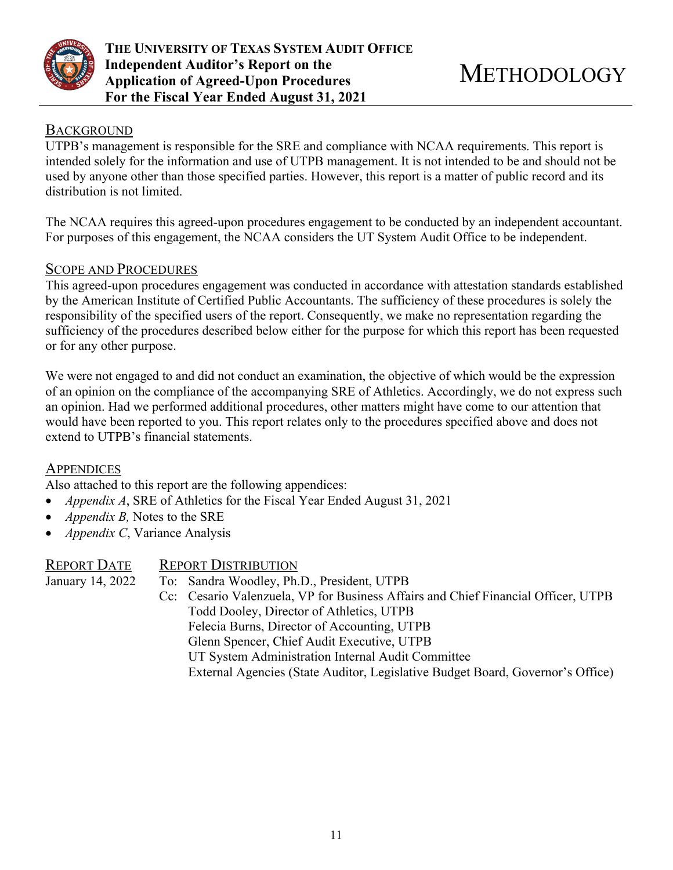

## **BACKGROUND**

UTPB's management is responsible for the SRE and compliance with NCAA requirements. This report is intended solely for the information and use of UTPB management. It is not intended to be and should not be used by anyone other than those specified parties. However, this report is a matter of public record and its distribution is not limited.

The NCAA requires this agreed-upon procedures engagement to be conducted by an independent accountant. For purposes of this engagement, the NCAA considers the UT System Audit Office to be independent.

## SCOPE AND PROCEDURES

This agreed-upon procedures engagement was conducted in accordance with attestation standards established by the American Institute of Certified Public Accountants. The sufficiency of these procedures is solely the responsibility of the specified users of the report. Consequently, we make no representation regarding the sufficiency of the procedures described below either for the purpose for which this report has been requested or for any other purpose.

We were not engaged to and did not conduct an examination, the objective of which would be the expression of an opinion on the compliance of the accompanying SRE of Athletics. Accordingly, we do not express such an opinion. Had we performed additional procedures, other matters might have come to our attention that would have been reported to you. This report relates only to the procedures specified above and does not extend to UTPB's financial statements.

### **APPENDICES**

Also attached to this report are the following appendices:

- *Appendix A*, SRE of Athletics for the Fiscal Year Ended August 31, 2021
- *Appendix B,* Notes to the SRE
- *Appendix C*, Variance Analysis

| REPORT DATE      | <b>REPORT DISTRIBUTION</b>                                                        |
|------------------|-----------------------------------------------------------------------------------|
| January 14, 2022 | To: Sandra Woodley, Ph.D., President, UTPB                                        |
|                  | Cc: Cesario Valenzuela, VP for Business Affairs and Chief Financial Officer, UTPB |
|                  | Todd Dooley, Director of Athletics, UTPB                                          |
|                  | Felecia Burns, Director of Accounting, UTPB                                       |
|                  | Glenn Spencer, Chief Audit Executive, UTPB                                        |
|                  | UT System Administration Internal Audit Committee                                 |
|                  | External Agencies (State Auditor, Legislative Budget Board, Governor's Office)    |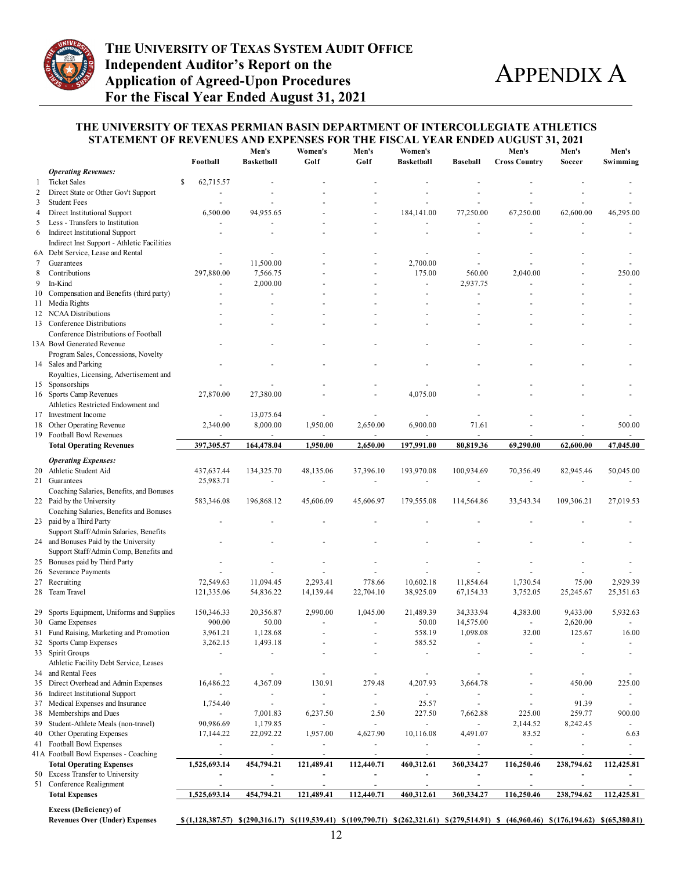

#### **THE UNIVERSITY OF TEXAS PERMIAN BASIN DEPARTMENT OF INTERCOLLEGIATE ATHLETICS STATEMENT OF REVENUES AND EXPENSES FOR THE FISCAL YEAR ENDED AUGUST 31, 2021**

| <b>Operating Revenues:</b><br><b>Ticket Sales</b><br>S<br>62,715.57<br>1<br>Direct State or Other Gov't Support<br>2<br>3<br><b>Student Fees</b><br>Direct Institutional Support<br>6,500.00<br>94,955.65<br>184,141.00<br>77,250.00<br>67,250.00<br>62,600.00<br>4<br>5<br>Less - Transfers to Institution<br>6<br>Indirect Institutional Support<br>ä,<br>Indirect Inst Support - Athletic Facilities<br>6A Debt Service, Lease and Rental<br>L,<br>$\overline{\phantom{a}}$<br>Guarantees<br>11,500.00<br>2,700.00<br>7<br>297,880.00<br>175.00<br>8<br>Contributions<br>7,566.75<br>560.00<br>2.040.00<br>In-Kind<br>9<br>2,000.00<br>2,937.75<br>$\overline{a}$<br>Compensation and Benefits (third party)<br>10<br>11 Media Rights<br>12 NCAA Distributions<br>13 Conference Distributions<br>Conference Distributions of Football<br>13A Bowl Generated Revenue<br>Program Sales, Concessions, Novelty<br>14 Sales and Parking<br>Royalties, Licensing, Advertisement and<br>15 Sponsorships<br>16 Sports Camp Revenues<br>27,870.00<br>27,380.00<br>4,075.00<br>Athletics Restricted Endowment and<br>17 Investment Income<br>13,075.64<br>$\sim$<br>8,000.00<br>1,950.00<br>18 Other Operating Revenue<br>2,340.00<br>2,650.00<br>6,900.00<br>71.61<br>19 Football Bowl Revenues<br>$\overline{\phantom{a}}$<br>397,305.57<br>164,478.04<br>1,950.00<br>2,650.00<br>197,991.00<br>80,819.36<br>69,290.00<br>62,600.00<br><b>Total Operating Revenues</b><br><b>Operating Expenses:</b><br>20 Athletic Student Aid<br>437,637.44<br>134,325.70<br>48,135.06<br>37,396.10<br>193,970.08<br>100,934.69<br>70,356.49<br>82,945.46<br>21 Guarantees<br>25,983.71<br>÷,<br>Coaching Salaries, Benefits, and Bonuses<br>196,868.12<br>22 Paid by the University<br>583,346.08<br>45,606.09<br>45,606.97<br>179,555.08<br>114,564.86<br>33,543.34<br>109,306.21<br>Coaching Salaries, Benefits and Bonuses<br>23 paid by a Third Party<br>Support Staff/Admin Salaries, Benefits<br>24 and Bonuses Paid by the University<br>Support Staff/Admin Comp, Benefits and<br>25 Bonuses paid by Third Party<br>26 Severance Payments<br>27 Recruiting<br>72,549.63<br>11,094.45<br>2,293.41<br>778.66<br>10,602.18<br>11,854.64<br>1,730.54<br>75.00<br>2,929.39<br>Team Travel<br>121,335.06<br>54,836.22<br>14,139.44<br>38,925.09<br>67,154.33<br>3,752.05<br>25,245.67<br>25,351.63<br>28<br>22,704.10<br>Sports Equipment, Uniforms and Supplies<br>2,990.00<br>34,333.94<br>4,383.00<br>150,346.33<br>20,356.87<br>1,045.00<br>21,489.39<br>9,433.00<br>29<br>14,575.00<br>900.00<br>50.00<br>50.00<br>2,620.00<br>30 Game Expenses<br>÷,<br>31 Fund Raising, Marketing and Promotion<br>3.961.21<br>1.128.68<br>558.19<br>1,098.08<br>32.00<br>125.67<br>1,493.18<br>Sports Camp Expenses<br>3,262.15<br>585.52<br>32<br>33 Spirit Groups<br>Athletic Facility Debt Service, Leases<br>34 and Rental Fees<br>÷,<br>$\blacksquare$<br>$\omega$<br>$\blacksquare$<br>$\sim$<br>$\sim$<br>35 Direct Overhead and Admin Expenses<br>16,486.22<br>4,367.09<br>130.91<br>279.48<br>4,207.93<br>3,664.78<br>450.00<br>36 Indirect Institutional Support<br>$\overline{\phantom{a}}$<br>ä,<br>$\overline{\phantom{a}}$<br>$\overline{\phantom{a}}$<br>$\blacksquare$<br>÷<br>25.57<br>Medical Expenses and Insurance<br>1,754.40<br>91.39<br>37<br>$\omega$<br>$\overline{a}$<br>$\overline{\phantom{a}}$<br>ä,<br>225.00<br>259.77<br>38 Memberships and Dues<br>7,001.83<br>6,237.50<br>2.50<br>227.50<br>7,662.88<br>1,179.85<br>Student-Athlete Meals (non-travel)<br>90,986.69<br>2,144.52<br>8,242.45<br>39<br>$\Box$<br>$\blacksquare$<br>$\blacksquare$<br>$\blacksquare$<br>Other Operating Expenses<br>22,092.22<br>1,957.00<br>4,627.90<br>10,116.08<br>83.52<br>40<br>17,144.22<br>4,491.07<br>41 Football Bowl Expenses<br>$\overline{\phantom{a}}$<br>٠<br>$\blacksquare$<br>$\blacksquare$<br>$\blacksquare$<br>$\overline{\phantom{a}}$<br>٠<br>41A Football Bowl Expenses - Coaching<br>$\overline{\phantom{a}}$<br>$\overline{\phantom{a}}$<br>$\overline{\phantom{a}}$<br>$\overline{\phantom{a}}$<br>$\overline{\phantom{a}}$<br>$\overline{\phantom{a}}$<br>$\overline{\phantom{a}}$<br>$\sim$<br><b>Total Operating Expenses</b><br>238,794.62<br>1,525,693.14<br>454,794.21<br>121,489.41<br>112,440.71<br>460,312.61<br>360,334.27<br>116,250.46<br>50 Excess Transfer to University<br>$\overline{\phantom{a}}$<br>٠<br>$\blacksquare$<br>$\overline{\phantom{a}}$<br>51 Conference Realignment<br>$\blacksquare$<br>$\blacksquare$<br>$\sim$<br>$\blacksquare$<br>$\overline{\phantom{a}}$<br>ä,<br>$\blacksquare$<br>$\blacksquare$<br>1,525,693.14<br>454,794.21<br>121,489.41<br>112,440.71<br>460,312.61<br>116,250.46<br>238,794.62<br><b>Total Expenses</b><br>360,334.27 |  | Football | Men's<br><b>Basketball</b> | Women's<br>Golf | Men's<br>Golf | Women's<br><b>Basketball</b> | Baseball | Men's<br><b>Cross Country</b> | Men's<br>Soccer | Men's<br>Swimming        |
|-----------------------------------------------------------------------------------------------------------------------------------------------------------------------------------------------------------------------------------------------------------------------------------------------------------------------------------------------------------------------------------------------------------------------------------------------------------------------------------------------------------------------------------------------------------------------------------------------------------------------------------------------------------------------------------------------------------------------------------------------------------------------------------------------------------------------------------------------------------------------------------------------------------------------------------------------------------------------------------------------------------------------------------------------------------------------------------------------------------------------------------------------------------------------------------------------------------------------------------------------------------------------------------------------------------------------------------------------------------------------------------------------------------------------------------------------------------------------------------------------------------------------------------------------------------------------------------------------------------------------------------------------------------------------------------------------------------------------------------------------------------------------------------------------------------------------------------------------------------------------------------------------------------------------------------------------------------------------------------------------------------------------------------------------------------------------------------------------------------------------------------------------------------------------------------------------------------------------------------------------------------------------------------------------------------------------------------------------------------------------------------------------------------------------------------------------------------------------------------------------------------------------------------------------------------------------------------------------------------------------------------------------------------------------------------------------------------------------------------------------------------------------------------------------------------------------------------------------------------------------------------------------------------------------------------------------------------------------------------------------------------------------------------------------------------------------------------------------------------------------------------------------------------------------------------------------------------------------------------------------------------------------------------------------------------------------------------------------------------------------------------------------------------------------------------------------------------------------------------------------------------------------------------------------------------------------------------------------------------------------------------------------------------------------------------------------------------------------------------------------------------------------------------------------------------------------------------------------------------------------------------------------------------------------------------------------------------------------------------------------------------------------------------------------------------------------------------------------------------------------------------------------------------------------------------------------------------------------------------------------------------------------------------------------------------------------------------------------------------------------------------------------------------------------------------------------------------------------------------------------------------------------------------------------------------------------------------------------------------------------------------------------------------------------------------------------------------------------------------------------------------------------------------------------------|--|----------|----------------------------|-----------------|---------------|------------------------------|----------|-------------------------------|-----------------|--------------------------|
|                                                                                                                                                                                                                                                                                                                                                                                                                                                                                                                                                                                                                                                                                                                                                                                                                                                                                                                                                                                                                                                                                                                                                                                                                                                                                                                                                                                                                                                                                                                                                                                                                                                                                                                                                                                                                                                                                                                                                                                                                                                                                                                                                                                                                                                                                                                                                                                                                                                                                                                                                                                                                                                                                                                                                                                                                                                                                                                                                                                                                                                                                                                                                                                                                                                                                                                                                                                                                                                                                                                                                                                                                                                                                                                                                                                                                                                                                                                                                                                                                                                                                                                                                                                                                                                                                                                                                                                                                                                                                                                                                                                                                                                                                                                                                                                                     |  |          |                            |                 |               |                              |          |                               |                 |                          |
|                                                                                                                                                                                                                                                                                                                                                                                                                                                                                                                                                                                                                                                                                                                                                                                                                                                                                                                                                                                                                                                                                                                                                                                                                                                                                                                                                                                                                                                                                                                                                                                                                                                                                                                                                                                                                                                                                                                                                                                                                                                                                                                                                                                                                                                                                                                                                                                                                                                                                                                                                                                                                                                                                                                                                                                                                                                                                                                                                                                                                                                                                                                                                                                                                                                                                                                                                                                                                                                                                                                                                                                                                                                                                                                                                                                                                                                                                                                                                                                                                                                                                                                                                                                                                                                                                                                                                                                                                                                                                                                                                                                                                                                                                                                                                                                                     |  |          |                            |                 |               |                              |          |                               |                 |                          |
|                                                                                                                                                                                                                                                                                                                                                                                                                                                                                                                                                                                                                                                                                                                                                                                                                                                                                                                                                                                                                                                                                                                                                                                                                                                                                                                                                                                                                                                                                                                                                                                                                                                                                                                                                                                                                                                                                                                                                                                                                                                                                                                                                                                                                                                                                                                                                                                                                                                                                                                                                                                                                                                                                                                                                                                                                                                                                                                                                                                                                                                                                                                                                                                                                                                                                                                                                                                                                                                                                                                                                                                                                                                                                                                                                                                                                                                                                                                                                                                                                                                                                                                                                                                                                                                                                                                                                                                                                                                                                                                                                                                                                                                                                                                                                                                                     |  |          |                            |                 |               |                              |          |                               |                 |                          |
|                                                                                                                                                                                                                                                                                                                                                                                                                                                                                                                                                                                                                                                                                                                                                                                                                                                                                                                                                                                                                                                                                                                                                                                                                                                                                                                                                                                                                                                                                                                                                                                                                                                                                                                                                                                                                                                                                                                                                                                                                                                                                                                                                                                                                                                                                                                                                                                                                                                                                                                                                                                                                                                                                                                                                                                                                                                                                                                                                                                                                                                                                                                                                                                                                                                                                                                                                                                                                                                                                                                                                                                                                                                                                                                                                                                                                                                                                                                                                                                                                                                                                                                                                                                                                                                                                                                                                                                                                                                                                                                                                                                                                                                                                                                                                                                                     |  |          |                            |                 |               |                              |          |                               |                 |                          |
|                                                                                                                                                                                                                                                                                                                                                                                                                                                                                                                                                                                                                                                                                                                                                                                                                                                                                                                                                                                                                                                                                                                                                                                                                                                                                                                                                                                                                                                                                                                                                                                                                                                                                                                                                                                                                                                                                                                                                                                                                                                                                                                                                                                                                                                                                                                                                                                                                                                                                                                                                                                                                                                                                                                                                                                                                                                                                                                                                                                                                                                                                                                                                                                                                                                                                                                                                                                                                                                                                                                                                                                                                                                                                                                                                                                                                                                                                                                                                                                                                                                                                                                                                                                                                                                                                                                                                                                                                                                                                                                                                                                                                                                                                                                                                                                                     |  |          |                            |                 |               |                              |          |                               |                 | 46,295.00                |
|                                                                                                                                                                                                                                                                                                                                                                                                                                                                                                                                                                                                                                                                                                                                                                                                                                                                                                                                                                                                                                                                                                                                                                                                                                                                                                                                                                                                                                                                                                                                                                                                                                                                                                                                                                                                                                                                                                                                                                                                                                                                                                                                                                                                                                                                                                                                                                                                                                                                                                                                                                                                                                                                                                                                                                                                                                                                                                                                                                                                                                                                                                                                                                                                                                                                                                                                                                                                                                                                                                                                                                                                                                                                                                                                                                                                                                                                                                                                                                                                                                                                                                                                                                                                                                                                                                                                                                                                                                                                                                                                                                                                                                                                                                                                                                                                     |  |          |                            |                 |               |                              |          |                               |                 |                          |
|                                                                                                                                                                                                                                                                                                                                                                                                                                                                                                                                                                                                                                                                                                                                                                                                                                                                                                                                                                                                                                                                                                                                                                                                                                                                                                                                                                                                                                                                                                                                                                                                                                                                                                                                                                                                                                                                                                                                                                                                                                                                                                                                                                                                                                                                                                                                                                                                                                                                                                                                                                                                                                                                                                                                                                                                                                                                                                                                                                                                                                                                                                                                                                                                                                                                                                                                                                                                                                                                                                                                                                                                                                                                                                                                                                                                                                                                                                                                                                                                                                                                                                                                                                                                                                                                                                                                                                                                                                                                                                                                                                                                                                                                                                                                                                                                     |  |          |                            |                 |               |                              |          |                               |                 |                          |
|                                                                                                                                                                                                                                                                                                                                                                                                                                                                                                                                                                                                                                                                                                                                                                                                                                                                                                                                                                                                                                                                                                                                                                                                                                                                                                                                                                                                                                                                                                                                                                                                                                                                                                                                                                                                                                                                                                                                                                                                                                                                                                                                                                                                                                                                                                                                                                                                                                                                                                                                                                                                                                                                                                                                                                                                                                                                                                                                                                                                                                                                                                                                                                                                                                                                                                                                                                                                                                                                                                                                                                                                                                                                                                                                                                                                                                                                                                                                                                                                                                                                                                                                                                                                                                                                                                                                                                                                                                                                                                                                                                                                                                                                                                                                                                                                     |  |          |                            |                 |               |                              |          |                               |                 |                          |
|                                                                                                                                                                                                                                                                                                                                                                                                                                                                                                                                                                                                                                                                                                                                                                                                                                                                                                                                                                                                                                                                                                                                                                                                                                                                                                                                                                                                                                                                                                                                                                                                                                                                                                                                                                                                                                                                                                                                                                                                                                                                                                                                                                                                                                                                                                                                                                                                                                                                                                                                                                                                                                                                                                                                                                                                                                                                                                                                                                                                                                                                                                                                                                                                                                                                                                                                                                                                                                                                                                                                                                                                                                                                                                                                                                                                                                                                                                                                                                                                                                                                                                                                                                                                                                                                                                                                                                                                                                                                                                                                                                                                                                                                                                                                                                                                     |  |          |                            |                 |               |                              |          |                               |                 |                          |
|                                                                                                                                                                                                                                                                                                                                                                                                                                                                                                                                                                                                                                                                                                                                                                                                                                                                                                                                                                                                                                                                                                                                                                                                                                                                                                                                                                                                                                                                                                                                                                                                                                                                                                                                                                                                                                                                                                                                                                                                                                                                                                                                                                                                                                                                                                                                                                                                                                                                                                                                                                                                                                                                                                                                                                                                                                                                                                                                                                                                                                                                                                                                                                                                                                                                                                                                                                                                                                                                                                                                                                                                                                                                                                                                                                                                                                                                                                                                                                                                                                                                                                                                                                                                                                                                                                                                                                                                                                                                                                                                                                                                                                                                                                                                                                                                     |  |          |                            |                 |               |                              |          |                               |                 |                          |
|                                                                                                                                                                                                                                                                                                                                                                                                                                                                                                                                                                                                                                                                                                                                                                                                                                                                                                                                                                                                                                                                                                                                                                                                                                                                                                                                                                                                                                                                                                                                                                                                                                                                                                                                                                                                                                                                                                                                                                                                                                                                                                                                                                                                                                                                                                                                                                                                                                                                                                                                                                                                                                                                                                                                                                                                                                                                                                                                                                                                                                                                                                                                                                                                                                                                                                                                                                                                                                                                                                                                                                                                                                                                                                                                                                                                                                                                                                                                                                                                                                                                                                                                                                                                                                                                                                                                                                                                                                                                                                                                                                                                                                                                                                                                                                                                     |  |          |                            |                 |               |                              |          |                               |                 | 250.00                   |
|                                                                                                                                                                                                                                                                                                                                                                                                                                                                                                                                                                                                                                                                                                                                                                                                                                                                                                                                                                                                                                                                                                                                                                                                                                                                                                                                                                                                                                                                                                                                                                                                                                                                                                                                                                                                                                                                                                                                                                                                                                                                                                                                                                                                                                                                                                                                                                                                                                                                                                                                                                                                                                                                                                                                                                                                                                                                                                                                                                                                                                                                                                                                                                                                                                                                                                                                                                                                                                                                                                                                                                                                                                                                                                                                                                                                                                                                                                                                                                                                                                                                                                                                                                                                                                                                                                                                                                                                                                                                                                                                                                                                                                                                                                                                                                                                     |  |          |                            |                 |               |                              |          |                               |                 |                          |
|                                                                                                                                                                                                                                                                                                                                                                                                                                                                                                                                                                                                                                                                                                                                                                                                                                                                                                                                                                                                                                                                                                                                                                                                                                                                                                                                                                                                                                                                                                                                                                                                                                                                                                                                                                                                                                                                                                                                                                                                                                                                                                                                                                                                                                                                                                                                                                                                                                                                                                                                                                                                                                                                                                                                                                                                                                                                                                                                                                                                                                                                                                                                                                                                                                                                                                                                                                                                                                                                                                                                                                                                                                                                                                                                                                                                                                                                                                                                                                                                                                                                                                                                                                                                                                                                                                                                                                                                                                                                                                                                                                                                                                                                                                                                                                                                     |  |          |                            |                 |               |                              |          |                               |                 |                          |
|                                                                                                                                                                                                                                                                                                                                                                                                                                                                                                                                                                                                                                                                                                                                                                                                                                                                                                                                                                                                                                                                                                                                                                                                                                                                                                                                                                                                                                                                                                                                                                                                                                                                                                                                                                                                                                                                                                                                                                                                                                                                                                                                                                                                                                                                                                                                                                                                                                                                                                                                                                                                                                                                                                                                                                                                                                                                                                                                                                                                                                                                                                                                                                                                                                                                                                                                                                                                                                                                                                                                                                                                                                                                                                                                                                                                                                                                                                                                                                                                                                                                                                                                                                                                                                                                                                                                                                                                                                                                                                                                                                                                                                                                                                                                                                                                     |  |          |                            |                 |               |                              |          |                               |                 |                          |
|                                                                                                                                                                                                                                                                                                                                                                                                                                                                                                                                                                                                                                                                                                                                                                                                                                                                                                                                                                                                                                                                                                                                                                                                                                                                                                                                                                                                                                                                                                                                                                                                                                                                                                                                                                                                                                                                                                                                                                                                                                                                                                                                                                                                                                                                                                                                                                                                                                                                                                                                                                                                                                                                                                                                                                                                                                                                                                                                                                                                                                                                                                                                                                                                                                                                                                                                                                                                                                                                                                                                                                                                                                                                                                                                                                                                                                                                                                                                                                                                                                                                                                                                                                                                                                                                                                                                                                                                                                                                                                                                                                                                                                                                                                                                                                                                     |  |          |                            |                 |               |                              |          |                               |                 |                          |
|                                                                                                                                                                                                                                                                                                                                                                                                                                                                                                                                                                                                                                                                                                                                                                                                                                                                                                                                                                                                                                                                                                                                                                                                                                                                                                                                                                                                                                                                                                                                                                                                                                                                                                                                                                                                                                                                                                                                                                                                                                                                                                                                                                                                                                                                                                                                                                                                                                                                                                                                                                                                                                                                                                                                                                                                                                                                                                                                                                                                                                                                                                                                                                                                                                                                                                                                                                                                                                                                                                                                                                                                                                                                                                                                                                                                                                                                                                                                                                                                                                                                                                                                                                                                                                                                                                                                                                                                                                                                                                                                                                                                                                                                                                                                                                                                     |  |          |                            |                 |               |                              |          |                               |                 |                          |
|                                                                                                                                                                                                                                                                                                                                                                                                                                                                                                                                                                                                                                                                                                                                                                                                                                                                                                                                                                                                                                                                                                                                                                                                                                                                                                                                                                                                                                                                                                                                                                                                                                                                                                                                                                                                                                                                                                                                                                                                                                                                                                                                                                                                                                                                                                                                                                                                                                                                                                                                                                                                                                                                                                                                                                                                                                                                                                                                                                                                                                                                                                                                                                                                                                                                                                                                                                                                                                                                                                                                                                                                                                                                                                                                                                                                                                                                                                                                                                                                                                                                                                                                                                                                                                                                                                                                                                                                                                                                                                                                                                                                                                                                                                                                                                                                     |  |          |                            |                 |               |                              |          |                               |                 |                          |
|                                                                                                                                                                                                                                                                                                                                                                                                                                                                                                                                                                                                                                                                                                                                                                                                                                                                                                                                                                                                                                                                                                                                                                                                                                                                                                                                                                                                                                                                                                                                                                                                                                                                                                                                                                                                                                                                                                                                                                                                                                                                                                                                                                                                                                                                                                                                                                                                                                                                                                                                                                                                                                                                                                                                                                                                                                                                                                                                                                                                                                                                                                                                                                                                                                                                                                                                                                                                                                                                                                                                                                                                                                                                                                                                                                                                                                                                                                                                                                                                                                                                                                                                                                                                                                                                                                                                                                                                                                                                                                                                                                                                                                                                                                                                                                                                     |  |          |                            |                 |               |                              |          |                               |                 |                          |
|                                                                                                                                                                                                                                                                                                                                                                                                                                                                                                                                                                                                                                                                                                                                                                                                                                                                                                                                                                                                                                                                                                                                                                                                                                                                                                                                                                                                                                                                                                                                                                                                                                                                                                                                                                                                                                                                                                                                                                                                                                                                                                                                                                                                                                                                                                                                                                                                                                                                                                                                                                                                                                                                                                                                                                                                                                                                                                                                                                                                                                                                                                                                                                                                                                                                                                                                                                                                                                                                                                                                                                                                                                                                                                                                                                                                                                                                                                                                                                                                                                                                                                                                                                                                                                                                                                                                                                                                                                                                                                                                                                                                                                                                                                                                                                                                     |  |          |                            |                 |               |                              |          |                               |                 |                          |
|                                                                                                                                                                                                                                                                                                                                                                                                                                                                                                                                                                                                                                                                                                                                                                                                                                                                                                                                                                                                                                                                                                                                                                                                                                                                                                                                                                                                                                                                                                                                                                                                                                                                                                                                                                                                                                                                                                                                                                                                                                                                                                                                                                                                                                                                                                                                                                                                                                                                                                                                                                                                                                                                                                                                                                                                                                                                                                                                                                                                                                                                                                                                                                                                                                                                                                                                                                                                                                                                                                                                                                                                                                                                                                                                                                                                                                                                                                                                                                                                                                                                                                                                                                                                                                                                                                                                                                                                                                                                                                                                                                                                                                                                                                                                                                                                     |  |          |                            |                 |               |                              |          |                               |                 |                          |
|                                                                                                                                                                                                                                                                                                                                                                                                                                                                                                                                                                                                                                                                                                                                                                                                                                                                                                                                                                                                                                                                                                                                                                                                                                                                                                                                                                                                                                                                                                                                                                                                                                                                                                                                                                                                                                                                                                                                                                                                                                                                                                                                                                                                                                                                                                                                                                                                                                                                                                                                                                                                                                                                                                                                                                                                                                                                                                                                                                                                                                                                                                                                                                                                                                                                                                                                                                                                                                                                                                                                                                                                                                                                                                                                                                                                                                                                                                                                                                                                                                                                                                                                                                                                                                                                                                                                                                                                                                                                                                                                                                                                                                                                                                                                                                                                     |  |          |                            |                 |               |                              |          |                               |                 |                          |
|                                                                                                                                                                                                                                                                                                                                                                                                                                                                                                                                                                                                                                                                                                                                                                                                                                                                                                                                                                                                                                                                                                                                                                                                                                                                                                                                                                                                                                                                                                                                                                                                                                                                                                                                                                                                                                                                                                                                                                                                                                                                                                                                                                                                                                                                                                                                                                                                                                                                                                                                                                                                                                                                                                                                                                                                                                                                                                                                                                                                                                                                                                                                                                                                                                                                                                                                                                                                                                                                                                                                                                                                                                                                                                                                                                                                                                                                                                                                                                                                                                                                                                                                                                                                                                                                                                                                                                                                                                                                                                                                                                                                                                                                                                                                                                                                     |  |          |                            |                 |               |                              |          |                               |                 |                          |
|                                                                                                                                                                                                                                                                                                                                                                                                                                                                                                                                                                                                                                                                                                                                                                                                                                                                                                                                                                                                                                                                                                                                                                                                                                                                                                                                                                                                                                                                                                                                                                                                                                                                                                                                                                                                                                                                                                                                                                                                                                                                                                                                                                                                                                                                                                                                                                                                                                                                                                                                                                                                                                                                                                                                                                                                                                                                                                                                                                                                                                                                                                                                                                                                                                                                                                                                                                                                                                                                                                                                                                                                                                                                                                                                                                                                                                                                                                                                                                                                                                                                                                                                                                                                                                                                                                                                                                                                                                                                                                                                                                                                                                                                                                                                                                                                     |  |          |                            |                 |               |                              |          |                               |                 |                          |
|                                                                                                                                                                                                                                                                                                                                                                                                                                                                                                                                                                                                                                                                                                                                                                                                                                                                                                                                                                                                                                                                                                                                                                                                                                                                                                                                                                                                                                                                                                                                                                                                                                                                                                                                                                                                                                                                                                                                                                                                                                                                                                                                                                                                                                                                                                                                                                                                                                                                                                                                                                                                                                                                                                                                                                                                                                                                                                                                                                                                                                                                                                                                                                                                                                                                                                                                                                                                                                                                                                                                                                                                                                                                                                                                                                                                                                                                                                                                                                                                                                                                                                                                                                                                                                                                                                                                                                                                                                                                                                                                                                                                                                                                                                                                                                                                     |  |          |                            |                 |               |                              |          |                               |                 |                          |
|                                                                                                                                                                                                                                                                                                                                                                                                                                                                                                                                                                                                                                                                                                                                                                                                                                                                                                                                                                                                                                                                                                                                                                                                                                                                                                                                                                                                                                                                                                                                                                                                                                                                                                                                                                                                                                                                                                                                                                                                                                                                                                                                                                                                                                                                                                                                                                                                                                                                                                                                                                                                                                                                                                                                                                                                                                                                                                                                                                                                                                                                                                                                                                                                                                                                                                                                                                                                                                                                                                                                                                                                                                                                                                                                                                                                                                                                                                                                                                                                                                                                                                                                                                                                                                                                                                                                                                                                                                                                                                                                                                                                                                                                                                                                                                                                     |  |          |                            |                 |               |                              |          |                               |                 |                          |
|                                                                                                                                                                                                                                                                                                                                                                                                                                                                                                                                                                                                                                                                                                                                                                                                                                                                                                                                                                                                                                                                                                                                                                                                                                                                                                                                                                                                                                                                                                                                                                                                                                                                                                                                                                                                                                                                                                                                                                                                                                                                                                                                                                                                                                                                                                                                                                                                                                                                                                                                                                                                                                                                                                                                                                                                                                                                                                                                                                                                                                                                                                                                                                                                                                                                                                                                                                                                                                                                                                                                                                                                                                                                                                                                                                                                                                                                                                                                                                                                                                                                                                                                                                                                                                                                                                                                                                                                                                                                                                                                                                                                                                                                                                                                                                                                     |  |          |                            |                 |               |                              |          |                               |                 |                          |
|                                                                                                                                                                                                                                                                                                                                                                                                                                                                                                                                                                                                                                                                                                                                                                                                                                                                                                                                                                                                                                                                                                                                                                                                                                                                                                                                                                                                                                                                                                                                                                                                                                                                                                                                                                                                                                                                                                                                                                                                                                                                                                                                                                                                                                                                                                                                                                                                                                                                                                                                                                                                                                                                                                                                                                                                                                                                                                                                                                                                                                                                                                                                                                                                                                                                                                                                                                                                                                                                                                                                                                                                                                                                                                                                                                                                                                                                                                                                                                                                                                                                                                                                                                                                                                                                                                                                                                                                                                                                                                                                                                                                                                                                                                                                                                                                     |  |          |                            |                 |               |                              |          |                               |                 | 500.00                   |
|                                                                                                                                                                                                                                                                                                                                                                                                                                                                                                                                                                                                                                                                                                                                                                                                                                                                                                                                                                                                                                                                                                                                                                                                                                                                                                                                                                                                                                                                                                                                                                                                                                                                                                                                                                                                                                                                                                                                                                                                                                                                                                                                                                                                                                                                                                                                                                                                                                                                                                                                                                                                                                                                                                                                                                                                                                                                                                                                                                                                                                                                                                                                                                                                                                                                                                                                                                                                                                                                                                                                                                                                                                                                                                                                                                                                                                                                                                                                                                                                                                                                                                                                                                                                                                                                                                                                                                                                                                                                                                                                                                                                                                                                                                                                                                                                     |  |          |                            |                 |               |                              |          |                               |                 |                          |
|                                                                                                                                                                                                                                                                                                                                                                                                                                                                                                                                                                                                                                                                                                                                                                                                                                                                                                                                                                                                                                                                                                                                                                                                                                                                                                                                                                                                                                                                                                                                                                                                                                                                                                                                                                                                                                                                                                                                                                                                                                                                                                                                                                                                                                                                                                                                                                                                                                                                                                                                                                                                                                                                                                                                                                                                                                                                                                                                                                                                                                                                                                                                                                                                                                                                                                                                                                                                                                                                                                                                                                                                                                                                                                                                                                                                                                                                                                                                                                                                                                                                                                                                                                                                                                                                                                                                                                                                                                                                                                                                                                                                                                                                                                                                                                                                     |  |          |                            |                 |               |                              |          |                               |                 | 47,045.00                |
|                                                                                                                                                                                                                                                                                                                                                                                                                                                                                                                                                                                                                                                                                                                                                                                                                                                                                                                                                                                                                                                                                                                                                                                                                                                                                                                                                                                                                                                                                                                                                                                                                                                                                                                                                                                                                                                                                                                                                                                                                                                                                                                                                                                                                                                                                                                                                                                                                                                                                                                                                                                                                                                                                                                                                                                                                                                                                                                                                                                                                                                                                                                                                                                                                                                                                                                                                                                                                                                                                                                                                                                                                                                                                                                                                                                                                                                                                                                                                                                                                                                                                                                                                                                                                                                                                                                                                                                                                                                                                                                                                                                                                                                                                                                                                                                                     |  |          |                            |                 |               |                              |          |                               |                 |                          |
|                                                                                                                                                                                                                                                                                                                                                                                                                                                                                                                                                                                                                                                                                                                                                                                                                                                                                                                                                                                                                                                                                                                                                                                                                                                                                                                                                                                                                                                                                                                                                                                                                                                                                                                                                                                                                                                                                                                                                                                                                                                                                                                                                                                                                                                                                                                                                                                                                                                                                                                                                                                                                                                                                                                                                                                                                                                                                                                                                                                                                                                                                                                                                                                                                                                                                                                                                                                                                                                                                                                                                                                                                                                                                                                                                                                                                                                                                                                                                                                                                                                                                                                                                                                                                                                                                                                                                                                                                                                                                                                                                                                                                                                                                                                                                                                                     |  |          |                            |                 |               |                              |          |                               |                 | 50,045.00                |
|                                                                                                                                                                                                                                                                                                                                                                                                                                                                                                                                                                                                                                                                                                                                                                                                                                                                                                                                                                                                                                                                                                                                                                                                                                                                                                                                                                                                                                                                                                                                                                                                                                                                                                                                                                                                                                                                                                                                                                                                                                                                                                                                                                                                                                                                                                                                                                                                                                                                                                                                                                                                                                                                                                                                                                                                                                                                                                                                                                                                                                                                                                                                                                                                                                                                                                                                                                                                                                                                                                                                                                                                                                                                                                                                                                                                                                                                                                                                                                                                                                                                                                                                                                                                                                                                                                                                                                                                                                                                                                                                                                                                                                                                                                                                                                                                     |  |          |                            |                 |               |                              |          |                               |                 |                          |
|                                                                                                                                                                                                                                                                                                                                                                                                                                                                                                                                                                                                                                                                                                                                                                                                                                                                                                                                                                                                                                                                                                                                                                                                                                                                                                                                                                                                                                                                                                                                                                                                                                                                                                                                                                                                                                                                                                                                                                                                                                                                                                                                                                                                                                                                                                                                                                                                                                                                                                                                                                                                                                                                                                                                                                                                                                                                                                                                                                                                                                                                                                                                                                                                                                                                                                                                                                                                                                                                                                                                                                                                                                                                                                                                                                                                                                                                                                                                                                                                                                                                                                                                                                                                                                                                                                                                                                                                                                                                                                                                                                                                                                                                                                                                                                                                     |  |          |                            |                 |               |                              |          |                               |                 |                          |
|                                                                                                                                                                                                                                                                                                                                                                                                                                                                                                                                                                                                                                                                                                                                                                                                                                                                                                                                                                                                                                                                                                                                                                                                                                                                                                                                                                                                                                                                                                                                                                                                                                                                                                                                                                                                                                                                                                                                                                                                                                                                                                                                                                                                                                                                                                                                                                                                                                                                                                                                                                                                                                                                                                                                                                                                                                                                                                                                                                                                                                                                                                                                                                                                                                                                                                                                                                                                                                                                                                                                                                                                                                                                                                                                                                                                                                                                                                                                                                                                                                                                                                                                                                                                                                                                                                                                                                                                                                                                                                                                                                                                                                                                                                                                                                                                     |  |          |                            |                 |               |                              |          |                               |                 | 27,019.53                |
|                                                                                                                                                                                                                                                                                                                                                                                                                                                                                                                                                                                                                                                                                                                                                                                                                                                                                                                                                                                                                                                                                                                                                                                                                                                                                                                                                                                                                                                                                                                                                                                                                                                                                                                                                                                                                                                                                                                                                                                                                                                                                                                                                                                                                                                                                                                                                                                                                                                                                                                                                                                                                                                                                                                                                                                                                                                                                                                                                                                                                                                                                                                                                                                                                                                                                                                                                                                                                                                                                                                                                                                                                                                                                                                                                                                                                                                                                                                                                                                                                                                                                                                                                                                                                                                                                                                                                                                                                                                                                                                                                                                                                                                                                                                                                                                                     |  |          |                            |                 |               |                              |          |                               |                 |                          |
|                                                                                                                                                                                                                                                                                                                                                                                                                                                                                                                                                                                                                                                                                                                                                                                                                                                                                                                                                                                                                                                                                                                                                                                                                                                                                                                                                                                                                                                                                                                                                                                                                                                                                                                                                                                                                                                                                                                                                                                                                                                                                                                                                                                                                                                                                                                                                                                                                                                                                                                                                                                                                                                                                                                                                                                                                                                                                                                                                                                                                                                                                                                                                                                                                                                                                                                                                                                                                                                                                                                                                                                                                                                                                                                                                                                                                                                                                                                                                                                                                                                                                                                                                                                                                                                                                                                                                                                                                                                                                                                                                                                                                                                                                                                                                                                                     |  |          |                            |                 |               |                              |          |                               |                 |                          |
|                                                                                                                                                                                                                                                                                                                                                                                                                                                                                                                                                                                                                                                                                                                                                                                                                                                                                                                                                                                                                                                                                                                                                                                                                                                                                                                                                                                                                                                                                                                                                                                                                                                                                                                                                                                                                                                                                                                                                                                                                                                                                                                                                                                                                                                                                                                                                                                                                                                                                                                                                                                                                                                                                                                                                                                                                                                                                                                                                                                                                                                                                                                                                                                                                                                                                                                                                                                                                                                                                                                                                                                                                                                                                                                                                                                                                                                                                                                                                                                                                                                                                                                                                                                                                                                                                                                                                                                                                                                                                                                                                                                                                                                                                                                                                                                                     |  |          |                            |                 |               |                              |          |                               |                 |                          |
|                                                                                                                                                                                                                                                                                                                                                                                                                                                                                                                                                                                                                                                                                                                                                                                                                                                                                                                                                                                                                                                                                                                                                                                                                                                                                                                                                                                                                                                                                                                                                                                                                                                                                                                                                                                                                                                                                                                                                                                                                                                                                                                                                                                                                                                                                                                                                                                                                                                                                                                                                                                                                                                                                                                                                                                                                                                                                                                                                                                                                                                                                                                                                                                                                                                                                                                                                                                                                                                                                                                                                                                                                                                                                                                                                                                                                                                                                                                                                                                                                                                                                                                                                                                                                                                                                                                                                                                                                                                                                                                                                                                                                                                                                                                                                                                                     |  |          |                            |                 |               |                              |          |                               |                 |                          |
|                                                                                                                                                                                                                                                                                                                                                                                                                                                                                                                                                                                                                                                                                                                                                                                                                                                                                                                                                                                                                                                                                                                                                                                                                                                                                                                                                                                                                                                                                                                                                                                                                                                                                                                                                                                                                                                                                                                                                                                                                                                                                                                                                                                                                                                                                                                                                                                                                                                                                                                                                                                                                                                                                                                                                                                                                                                                                                                                                                                                                                                                                                                                                                                                                                                                                                                                                                                                                                                                                                                                                                                                                                                                                                                                                                                                                                                                                                                                                                                                                                                                                                                                                                                                                                                                                                                                                                                                                                                                                                                                                                                                                                                                                                                                                                                                     |  |          |                            |                 |               |                              |          |                               |                 |                          |
|                                                                                                                                                                                                                                                                                                                                                                                                                                                                                                                                                                                                                                                                                                                                                                                                                                                                                                                                                                                                                                                                                                                                                                                                                                                                                                                                                                                                                                                                                                                                                                                                                                                                                                                                                                                                                                                                                                                                                                                                                                                                                                                                                                                                                                                                                                                                                                                                                                                                                                                                                                                                                                                                                                                                                                                                                                                                                                                                                                                                                                                                                                                                                                                                                                                                                                                                                                                                                                                                                                                                                                                                                                                                                                                                                                                                                                                                                                                                                                                                                                                                                                                                                                                                                                                                                                                                                                                                                                                                                                                                                                                                                                                                                                                                                                                                     |  |          |                            |                 |               |                              |          |                               |                 |                          |
|                                                                                                                                                                                                                                                                                                                                                                                                                                                                                                                                                                                                                                                                                                                                                                                                                                                                                                                                                                                                                                                                                                                                                                                                                                                                                                                                                                                                                                                                                                                                                                                                                                                                                                                                                                                                                                                                                                                                                                                                                                                                                                                                                                                                                                                                                                                                                                                                                                                                                                                                                                                                                                                                                                                                                                                                                                                                                                                                                                                                                                                                                                                                                                                                                                                                                                                                                                                                                                                                                                                                                                                                                                                                                                                                                                                                                                                                                                                                                                                                                                                                                                                                                                                                                                                                                                                                                                                                                                                                                                                                                                                                                                                                                                                                                                                                     |  |          |                            |                 |               |                              |          |                               |                 |                          |
|                                                                                                                                                                                                                                                                                                                                                                                                                                                                                                                                                                                                                                                                                                                                                                                                                                                                                                                                                                                                                                                                                                                                                                                                                                                                                                                                                                                                                                                                                                                                                                                                                                                                                                                                                                                                                                                                                                                                                                                                                                                                                                                                                                                                                                                                                                                                                                                                                                                                                                                                                                                                                                                                                                                                                                                                                                                                                                                                                                                                                                                                                                                                                                                                                                                                                                                                                                                                                                                                                                                                                                                                                                                                                                                                                                                                                                                                                                                                                                                                                                                                                                                                                                                                                                                                                                                                                                                                                                                                                                                                                                                                                                                                                                                                                                                                     |  |          |                            |                 |               |                              |          |                               |                 |                          |
|                                                                                                                                                                                                                                                                                                                                                                                                                                                                                                                                                                                                                                                                                                                                                                                                                                                                                                                                                                                                                                                                                                                                                                                                                                                                                                                                                                                                                                                                                                                                                                                                                                                                                                                                                                                                                                                                                                                                                                                                                                                                                                                                                                                                                                                                                                                                                                                                                                                                                                                                                                                                                                                                                                                                                                                                                                                                                                                                                                                                                                                                                                                                                                                                                                                                                                                                                                                                                                                                                                                                                                                                                                                                                                                                                                                                                                                                                                                                                                                                                                                                                                                                                                                                                                                                                                                                                                                                                                                                                                                                                                                                                                                                                                                                                                                                     |  |          |                            |                 |               |                              |          |                               |                 |                          |
|                                                                                                                                                                                                                                                                                                                                                                                                                                                                                                                                                                                                                                                                                                                                                                                                                                                                                                                                                                                                                                                                                                                                                                                                                                                                                                                                                                                                                                                                                                                                                                                                                                                                                                                                                                                                                                                                                                                                                                                                                                                                                                                                                                                                                                                                                                                                                                                                                                                                                                                                                                                                                                                                                                                                                                                                                                                                                                                                                                                                                                                                                                                                                                                                                                                                                                                                                                                                                                                                                                                                                                                                                                                                                                                                                                                                                                                                                                                                                                                                                                                                                                                                                                                                                                                                                                                                                                                                                                                                                                                                                                                                                                                                                                                                                                                                     |  |          |                            |                 |               |                              |          |                               |                 |                          |
|                                                                                                                                                                                                                                                                                                                                                                                                                                                                                                                                                                                                                                                                                                                                                                                                                                                                                                                                                                                                                                                                                                                                                                                                                                                                                                                                                                                                                                                                                                                                                                                                                                                                                                                                                                                                                                                                                                                                                                                                                                                                                                                                                                                                                                                                                                                                                                                                                                                                                                                                                                                                                                                                                                                                                                                                                                                                                                                                                                                                                                                                                                                                                                                                                                                                                                                                                                                                                                                                                                                                                                                                                                                                                                                                                                                                                                                                                                                                                                                                                                                                                                                                                                                                                                                                                                                                                                                                                                                                                                                                                                                                                                                                                                                                                                                                     |  |          |                            |                 |               |                              |          |                               |                 |                          |
|                                                                                                                                                                                                                                                                                                                                                                                                                                                                                                                                                                                                                                                                                                                                                                                                                                                                                                                                                                                                                                                                                                                                                                                                                                                                                                                                                                                                                                                                                                                                                                                                                                                                                                                                                                                                                                                                                                                                                                                                                                                                                                                                                                                                                                                                                                                                                                                                                                                                                                                                                                                                                                                                                                                                                                                                                                                                                                                                                                                                                                                                                                                                                                                                                                                                                                                                                                                                                                                                                                                                                                                                                                                                                                                                                                                                                                                                                                                                                                                                                                                                                                                                                                                                                                                                                                                                                                                                                                                                                                                                                                                                                                                                                                                                                                                                     |  |          |                            |                 |               |                              |          |                               |                 | 5,932.63                 |
|                                                                                                                                                                                                                                                                                                                                                                                                                                                                                                                                                                                                                                                                                                                                                                                                                                                                                                                                                                                                                                                                                                                                                                                                                                                                                                                                                                                                                                                                                                                                                                                                                                                                                                                                                                                                                                                                                                                                                                                                                                                                                                                                                                                                                                                                                                                                                                                                                                                                                                                                                                                                                                                                                                                                                                                                                                                                                                                                                                                                                                                                                                                                                                                                                                                                                                                                                                                                                                                                                                                                                                                                                                                                                                                                                                                                                                                                                                                                                                                                                                                                                                                                                                                                                                                                                                                                                                                                                                                                                                                                                                                                                                                                                                                                                                                                     |  |          |                            |                 |               |                              |          |                               |                 |                          |
|                                                                                                                                                                                                                                                                                                                                                                                                                                                                                                                                                                                                                                                                                                                                                                                                                                                                                                                                                                                                                                                                                                                                                                                                                                                                                                                                                                                                                                                                                                                                                                                                                                                                                                                                                                                                                                                                                                                                                                                                                                                                                                                                                                                                                                                                                                                                                                                                                                                                                                                                                                                                                                                                                                                                                                                                                                                                                                                                                                                                                                                                                                                                                                                                                                                                                                                                                                                                                                                                                                                                                                                                                                                                                                                                                                                                                                                                                                                                                                                                                                                                                                                                                                                                                                                                                                                                                                                                                                                                                                                                                                                                                                                                                                                                                                                                     |  |          |                            |                 |               |                              |          |                               |                 | 16.00                    |
|                                                                                                                                                                                                                                                                                                                                                                                                                                                                                                                                                                                                                                                                                                                                                                                                                                                                                                                                                                                                                                                                                                                                                                                                                                                                                                                                                                                                                                                                                                                                                                                                                                                                                                                                                                                                                                                                                                                                                                                                                                                                                                                                                                                                                                                                                                                                                                                                                                                                                                                                                                                                                                                                                                                                                                                                                                                                                                                                                                                                                                                                                                                                                                                                                                                                                                                                                                                                                                                                                                                                                                                                                                                                                                                                                                                                                                                                                                                                                                                                                                                                                                                                                                                                                                                                                                                                                                                                                                                                                                                                                                                                                                                                                                                                                                                                     |  |          |                            |                 |               |                              |          |                               |                 |                          |
|                                                                                                                                                                                                                                                                                                                                                                                                                                                                                                                                                                                                                                                                                                                                                                                                                                                                                                                                                                                                                                                                                                                                                                                                                                                                                                                                                                                                                                                                                                                                                                                                                                                                                                                                                                                                                                                                                                                                                                                                                                                                                                                                                                                                                                                                                                                                                                                                                                                                                                                                                                                                                                                                                                                                                                                                                                                                                                                                                                                                                                                                                                                                                                                                                                                                                                                                                                                                                                                                                                                                                                                                                                                                                                                                                                                                                                                                                                                                                                                                                                                                                                                                                                                                                                                                                                                                                                                                                                                                                                                                                                                                                                                                                                                                                                                                     |  |          |                            |                 |               |                              |          |                               |                 |                          |
|                                                                                                                                                                                                                                                                                                                                                                                                                                                                                                                                                                                                                                                                                                                                                                                                                                                                                                                                                                                                                                                                                                                                                                                                                                                                                                                                                                                                                                                                                                                                                                                                                                                                                                                                                                                                                                                                                                                                                                                                                                                                                                                                                                                                                                                                                                                                                                                                                                                                                                                                                                                                                                                                                                                                                                                                                                                                                                                                                                                                                                                                                                                                                                                                                                                                                                                                                                                                                                                                                                                                                                                                                                                                                                                                                                                                                                                                                                                                                                                                                                                                                                                                                                                                                                                                                                                                                                                                                                                                                                                                                                                                                                                                                                                                                                                                     |  |          |                            |                 |               |                              |          |                               |                 |                          |
|                                                                                                                                                                                                                                                                                                                                                                                                                                                                                                                                                                                                                                                                                                                                                                                                                                                                                                                                                                                                                                                                                                                                                                                                                                                                                                                                                                                                                                                                                                                                                                                                                                                                                                                                                                                                                                                                                                                                                                                                                                                                                                                                                                                                                                                                                                                                                                                                                                                                                                                                                                                                                                                                                                                                                                                                                                                                                                                                                                                                                                                                                                                                                                                                                                                                                                                                                                                                                                                                                                                                                                                                                                                                                                                                                                                                                                                                                                                                                                                                                                                                                                                                                                                                                                                                                                                                                                                                                                                                                                                                                                                                                                                                                                                                                                                                     |  |          |                            |                 |               |                              |          |                               |                 | $\sim$                   |
|                                                                                                                                                                                                                                                                                                                                                                                                                                                                                                                                                                                                                                                                                                                                                                                                                                                                                                                                                                                                                                                                                                                                                                                                                                                                                                                                                                                                                                                                                                                                                                                                                                                                                                                                                                                                                                                                                                                                                                                                                                                                                                                                                                                                                                                                                                                                                                                                                                                                                                                                                                                                                                                                                                                                                                                                                                                                                                                                                                                                                                                                                                                                                                                                                                                                                                                                                                                                                                                                                                                                                                                                                                                                                                                                                                                                                                                                                                                                                                                                                                                                                                                                                                                                                                                                                                                                                                                                                                                                                                                                                                                                                                                                                                                                                                                                     |  |          |                            |                 |               |                              |          |                               |                 | 225.00                   |
|                                                                                                                                                                                                                                                                                                                                                                                                                                                                                                                                                                                                                                                                                                                                                                                                                                                                                                                                                                                                                                                                                                                                                                                                                                                                                                                                                                                                                                                                                                                                                                                                                                                                                                                                                                                                                                                                                                                                                                                                                                                                                                                                                                                                                                                                                                                                                                                                                                                                                                                                                                                                                                                                                                                                                                                                                                                                                                                                                                                                                                                                                                                                                                                                                                                                                                                                                                                                                                                                                                                                                                                                                                                                                                                                                                                                                                                                                                                                                                                                                                                                                                                                                                                                                                                                                                                                                                                                                                                                                                                                                                                                                                                                                                                                                                                                     |  |          |                            |                 |               |                              |          |                               |                 | $\frac{1}{2}$            |
|                                                                                                                                                                                                                                                                                                                                                                                                                                                                                                                                                                                                                                                                                                                                                                                                                                                                                                                                                                                                                                                                                                                                                                                                                                                                                                                                                                                                                                                                                                                                                                                                                                                                                                                                                                                                                                                                                                                                                                                                                                                                                                                                                                                                                                                                                                                                                                                                                                                                                                                                                                                                                                                                                                                                                                                                                                                                                                                                                                                                                                                                                                                                                                                                                                                                                                                                                                                                                                                                                                                                                                                                                                                                                                                                                                                                                                                                                                                                                                                                                                                                                                                                                                                                                                                                                                                                                                                                                                                                                                                                                                                                                                                                                                                                                                                                     |  |          |                            |                 |               |                              |          |                               |                 |                          |
|                                                                                                                                                                                                                                                                                                                                                                                                                                                                                                                                                                                                                                                                                                                                                                                                                                                                                                                                                                                                                                                                                                                                                                                                                                                                                                                                                                                                                                                                                                                                                                                                                                                                                                                                                                                                                                                                                                                                                                                                                                                                                                                                                                                                                                                                                                                                                                                                                                                                                                                                                                                                                                                                                                                                                                                                                                                                                                                                                                                                                                                                                                                                                                                                                                                                                                                                                                                                                                                                                                                                                                                                                                                                                                                                                                                                                                                                                                                                                                                                                                                                                                                                                                                                                                                                                                                                                                                                                                                                                                                                                                                                                                                                                                                                                                                                     |  |          |                            |                 |               |                              |          |                               |                 | 900.00                   |
|                                                                                                                                                                                                                                                                                                                                                                                                                                                                                                                                                                                                                                                                                                                                                                                                                                                                                                                                                                                                                                                                                                                                                                                                                                                                                                                                                                                                                                                                                                                                                                                                                                                                                                                                                                                                                                                                                                                                                                                                                                                                                                                                                                                                                                                                                                                                                                                                                                                                                                                                                                                                                                                                                                                                                                                                                                                                                                                                                                                                                                                                                                                                                                                                                                                                                                                                                                                                                                                                                                                                                                                                                                                                                                                                                                                                                                                                                                                                                                                                                                                                                                                                                                                                                                                                                                                                                                                                                                                                                                                                                                                                                                                                                                                                                                                                     |  |          |                            |                 |               |                              |          |                               |                 | $\blacksquare$           |
|                                                                                                                                                                                                                                                                                                                                                                                                                                                                                                                                                                                                                                                                                                                                                                                                                                                                                                                                                                                                                                                                                                                                                                                                                                                                                                                                                                                                                                                                                                                                                                                                                                                                                                                                                                                                                                                                                                                                                                                                                                                                                                                                                                                                                                                                                                                                                                                                                                                                                                                                                                                                                                                                                                                                                                                                                                                                                                                                                                                                                                                                                                                                                                                                                                                                                                                                                                                                                                                                                                                                                                                                                                                                                                                                                                                                                                                                                                                                                                                                                                                                                                                                                                                                                                                                                                                                                                                                                                                                                                                                                                                                                                                                                                                                                                                                     |  |          |                            |                 |               |                              |          |                               |                 | 6.63                     |
|                                                                                                                                                                                                                                                                                                                                                                                                                                                                                                                                                                                                                                                                                                                                                                                                                                                                                                                                                                                                                                                                                                                                                                                                                                                                                                                                                                                                                                                                                                                                                                                                                                                                                                                                                                                                                                                                                                                                                                                                                                                                                                                                                                                                                                                                                                                                                                                                                                                                                                                                                                                                                                                                                                                                                                                                                                                                                                                                                                                                                                                                                                                                                                                                                                                                                                                                                                                                                                                                                                                                                                                                                                                                                                                                                                                                                                                                                                                                                                                                                                                                                                                                                                                                                                                                                                                                                                                                                                                                                                                                                                                                                                                                                                                                                                                                     |  |          |                            |                 |               |                              |          |                               |                 | $\overline{\phantom{a}}$ |
|                                                                                                                                                                                                                                                                                                                                                                                                                                                                                                                                                                                                                                                                                                                                                                                                                                                                                                                                                                                                                                                                                                                                                                                                                                                                                                                                                                                                                                                                                                                                                                                                                                                                                                                                                                                                                                                                                                                                                                                                                                                                                                                                                                                                                                                                                                                                                                                                                                                                                                                                                                                                                                                                                                                                                                                                                                                                                                                                                                                                                                                                                                                                                                                                                                                                                                                                                                                                                                                                                                                                                                                                                                                                                                                                                                                                                                                                                                                                                                                                                                                                                                                                                                                                                                                                                                                                                                                                                                                                                                                                                                                                                                                                                                                                                                                                     |  |          |                            |                 |               |                              |          |                               |                 | $\overline{\phantom{a}}$ |
|                                                                                                                                                                                                                                                                                                                                                                                                                                                                                                                                                                                                                                                                                                                                                                                                                                                                                                                                                                                                                                                                                                                                                                                                                                                                                                                                                                                                                                                                                                                                                                                                                                                                                                                                                                                                                                                                                                                                                                                                                                                                                                                                                                                                                                                                                                                                                                                                                                                                                                                                                                                                                                                                                                                                                                                                                                                                                                                                                                                                                                                                                                                                                                                                                                                                                                                                                                                                                                                                                                                                                                                                                                                                                                                                                                                                                                                                                                                                                                                                                                                                                                                                                                                                                                                                                                                                                                                                                                                                                                                                                                                                                                                                                                                                                                                                     |  |          |                            |                 |               |                              |          |                               |                 | 112,425.81               |
|                                                                                                                                                                                                                                                                                                                                                                                                                                                                                                                                                                                                                                                                                                                                                                                                                                                                                                                                                                                                                                                                                                                                                                                                                                                                                                                                                                                                                                                                                                                                                                                                                                                                                                                                                                                                                                                                                                                                                                                                                                                                                                                                                                                                                                                                                                                                                                                                                                                                                                                                                                                                                                                                                                                                                                                                                                                                                                                                                                                                                                                                                                                                                                                                                                                                                                                                                                                                                                                                                                                                                                                                                                                                                                                                                                                                                                                                                                                                                                                                                                                                                                                                                                                                                                                                                                                                                                                                                                                                                                                                                                                                                                                                                                                                                                                                     |  |          |                            |                 |               |                              |          |                               |                 |                          |
|                                                                                                                                                                                                                                                                                                                                                                                                                                                                                                                                                                                                                                                                                                                                                                                                                                                                                                                                                                                                                                                                                                                                                                                                                                                                                                                                                                                                                                                                                                                                                                                                                                                                                                                                                                                                                                                                                                                                                                                                                                                                                                                                                                                                                                                                                                                                                                                                                                                                                                                                                                                                                                                                                                                                                                                                                                                                                                                                                                                                                                                                                                                                                                                                                                                                                                                                                                                                                                                                                                                                                                                                                                                                                                                                                                                                                                                                                                                                                                                                                                                                                                                                                                                                                                                                                                                                                                                                                                                                                                                                                                                                                                                                                                                                                                                                     |  |          |                            |                 |               |                              |          |                               |                 |                          |
|                                                                                                                                                                                                                                                                                                                                                                                                                                                                                                                                                                                                                                                                                                                                                                                                                                                                                                                                                                                                                                                                                                                                                                                                                                                                                                                                                                                                                                                                                                                                                                                                                                                                                                                                                                                                                                                                                                                                                                                                                                                                                                                                                                                                                                                                                                                                                                                                                                                                                                                                                                                                                                                                                                                                                                                                                                                                                                                                                                                                                                                                                                                                                                                                                                                                                                                                                                                                                                                                                                                                                                                                                                                                                                                                                                                                                                                                                                                                                                                                                                                                                                                                                                                                                                                                                                                                                                                                                                                                                                                                                                                                                                                                                                                                                                                                     |  |          |                            |                 |               |                              |          |                               |                 | 112,425.81               |
| <b>Excess (Deficiency) of</b>                                                                                                                                                                                                                                                                                                                                                                                                                                                                                                                                                                                                                                                                                                                                                                                                                                                                                                                                                                                                                                                                                                                                                                                                                                                                                                                                                                                                                                                                                                                                                                                                                                                                                                                                                                                                                                                                                                                                                                                                                                                                                                                                                                                                                                                                                                                                                                                                                                                                                                                                                                                                                                                                                                                                                                                                                                                                                                                                                                                                                                                                                                                                                                                                                                                                                                                                                                                                                                                                                                                                                                                                                                                                                                                                                                                                                                                                                                                                                                                                                                                                                                                                                                                                                                                                                                                                                                                                                                                                                                                                                                                                                                                                                                                                                                       |  |          |                            |                 |               |                              |          |                               |                 |                          |

**Revenues Over (Under) Expenses \$ (1,128,387.57) \$ (290,316.17) \$ (119,539.41) \$ (109,790.71) \$ (262,321.61) \$ (279,514.91) \$ (46,960.46) \$ (176,194.62) \$ (65,380.81)**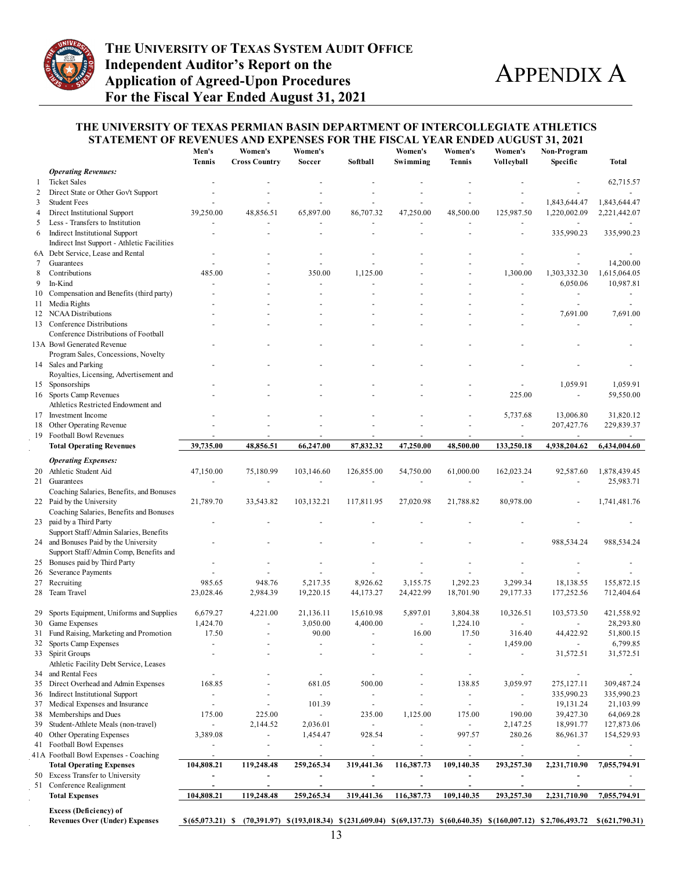

#### **THE UNIVERSITY OF TEXAS PERMIAN BASIN DEPARTMENT OF INTERCOLLEGIATE ATHLETICS STATEMENT OF REVENUES AND EXPENSES FOR THE FISCAL YEAR ENDED AUGUST 31, 2021**

|        |                                                                                      | Men's<br><b>Tennis</b> | Women's<br><b>Cross Country</b>                                                                                                                            | Women's<br>Soccer        | Softball                 | Women's<br>Swimming      | Women's<br><b>Tennis</b> | Women's<br>Volleyball    | Non-Program<br>Specific  | Total                    |
|--------|--------------------------------------------------------------------------------------|------------------------|------------------------------------------------------------------------------------------------------------------------------------------------------------|--------------------------|--------------------------|--------------------------|--------------------------|--------------------------|--------------------------|--------------------------|
|        | <b>Operating Revenues:</b>                                                           |                        |                                                                                                                                                            |                          |                          |                          |                          |                          |                          |                          |
| -1     | <b>Ticket Sales</b>                                                                  |                        |                                                                                                                                                            |                          |                          |                          |                          |                          |                          | 62,715.57                |
| 2<br>3 | Direct State or Other Gov't Support<br><b>Student Fees</b>                           |                        |                                                                                                                                                            |                          |                          |                          |                          |                          | 1,843,644.47             | 1,843,644.47             |
| 4      | Direct Institutional Support                                                         | 39,250.00              | 48,856.51                                                                                                                                                  | 65,897.00                | 86,707.32                | 47,250.00                | 48,500.00                | 125,987.50               | 1,220,002.09             | 2,221,442.07             |
| 5      | Less - Transfers to Institution                                                      |                        |                                                                                                                                                            |                          |                          |                          |                          |                          |                          |                          |
| 6      | <b>Indirect Institutional Support</b><br>Indirect Inst Support - Athletic Facilities |                        |                                                                                                                                                            |                          |                          | $\blacksquare$           | ÷,                       |                          | 335,990.23               | 335,990.23               |
|        | 6A Debt Service, Lease and Rental                                                    |                        |                                                                                                                                                            |                          |                          |                          |                          |                          |                          |                          |
| 7      | Guarantees                                                                           |                        |                                                                                                                                                            | ä,                       |                          |                          |                          |                          | $\overline{\phantom{a}}$ | 14,200.00                |
| 8      | Contributions                                                                        | 485.00                 |                                                                                                                                                            | 350.00                   | 1,125.00                 |                          |                          | 1,300.00                 | 1,303,332.30             | 1,615,064.05             |
| 9      | In-Kind                                                                              |                        |                                                                                                                                                            | L.                       |                          |                          |                          |                          | 6,050.06                 | 10,987.81                |
|        | 10 Compensation and Benefits (third party)                                           |                        |                                                                                                                                                            |                          |                          |                          |                          |                          | $\blacksquare$           |                          |
| 11     | Media Rights                                                                         |                        |                                                                                                                                                            |                          |                          |                          |                          |                          |                          |                          |
|        | 12 NCAA Distributions                                                                |                        |                                                                                                                                                            |                          |                          |                          |                          |                          | 7,691.00                 | 7,691.00                 |
|        | 13 Conference Distributions                                                          |                        |                                                                                                                                                            |                          |                          |                          |                          |                          |                          |                          |
|        | Conference Distributions of Football<br>13A Bowl Generated Revenue                   |                        |                                                                                                                                                            |                          |                          |                          |                          |                          |                          |                          |
|        | Program Sales, Concessions, Novelty                                                  |                        |                                                                                                                                                            |                          |                          |                          |                          |                          |                          |                          |
|        | 14 Sales and Parking<br>Royalties, Licensing, Advertisement and                      |                        |                                                                                                                                                            |                          |                          |                          |                          |                          |                          |                          |
|        | 15 Sponsorships                                                                      |                        |                                                                                                                                                            |                          |                          |                          |                          |                          | 1,059.91                 | 1,059.91                 |
|        | 16 Sports Camp Revenues                                                              |                        |                                                                                                                                                            |                          |                          |                          |                          | 225.00                   | $\sim$                   | 59,550.00                |
|        | Athletics Restricted Endowment and                                                   |                        |                                                                                                                                                            |                          |                          |                          |                          |                          |                          |                          |
|        | 17 Investment Income                                                                 |                        |                                                                                                                                                            |                          |                          |                          |                          | 5,737.68                 | 13,006.80                | 31,820.12                |
| 18     | Other Operating Revenue                                                              |                        |                                                                                                                                                            | $\overline{a}$           |                          |                          | $\overline{\phantom{a}}$ |                          | 207,427.76               | 229,839.37               |
|        | 19 Football Bowl Revenues                                                            |                        |                                                                                                                                                            |                          |                          |                          |                          |                          |                          |                          |
|        | <b>Total Operating Revenues</b>                                                      | 39,735.00              | 48,856.51                                                                                                                                                  | 66,247.00                | 87,832.32                | 47,250.00                | 48,500.00                | 133,250.18               | 4,938,204.62             | 6,434,004.60             |
|        | <b>Operating Expenses:</b>                                                           |                        |                                                                                                                                                            |                          |                          |                          |                          |                          |                          |                          |
|        | 20 Athletic Student Aid                                                              | 47,150.00              | 75,180.99                                                                                                                                                  | 103,146.60               | 126,855.00               | 54,750.00                | 61,000.00                | 162,023.24               | 92,587.60                | 1,878,439.45             |
|        | 21 Guarantees                                                                        |                        |                                                                                                                                                            | ÷                        |                          |                          |                          |                          |                          | 25,983.71                |
|        | Coaching Salaries, Benefits, and Bonuses                                             |                        |                                                                                                                                                            |                          |                          |                          |                          |                          |                          |                          |
|        | 22 Paid by the University                                                            | 21,789.70              | 33,543.82                                                                                                                                                  | 103,132.21               | 117,811.95               | 27,020.98                | 21,788.82                | 80,978.00                |                          | 1,741,481.76             |
|        | Coaching Salaries, Benefits and Bonuses                                              |                        |                                                                                                                                                            |                          |                          |                          |                          |                          |                          |                          |
|        | 23 paid by a Third Party                                                             |                        |                                                                                                                                                            |                          |                          |                          |                          |                          |                          |                          |
|        | Support Staff/Admin Salaries, Benefits                                               |                        |                                                                                                                                                            |                          |                          |                          |                          |                          |                          |                          |
| 24     | and Bonuses Paid by the University                                                   |                        |                                                                                                                                                            |                          |                          |                          |                          |                          | 988,534.24               | 988,534.24               |
|        | Support Staff/Admin Comp, Benefits and                                               |                        |                                                                                                                                                            |                          |                          |                          |                          |                          |                          |                          |
|        | 25 Bonuses paid by Third Party                                                       |                        |                                                                                                                                                            |                          |                          |                          |                          |                          |                          |                          |
| 26     | Severance Payments                                                                   |                        |                                                                                                                                                            |                          |                          |                          |                          |                          |                          |                          |
|        | 27 Recruiting                                                                        | 985.65                 | 948.76                                                                                                                                                     | 5,217.35                 | 8,926.62                 | 3,155.75                 | 1,292.23                 | 3,299.34                 | 18,138.55                | 155,872.15               |
| 28     | Team Travel                                                                          | 23,028.46              | 2,984.39                                                                                                                                                   | 19,220.15                | 44,173.27                | 24,422.99                | 18,701.90                | 29,177.33                | 177,252.56               | 712,404.64               |
| 29     | Sports Equipment, Uniforms and Supplies                                              | 6,679.27               | 4,221.00                                                                                                                                                   | 21,136.11                | 15,610.98                | 5,897.01                 | 3,804.38                 | 10,326.51                | 103,573.50               | 421,558.92               |
|        | 30 Game Expenses                                                                     | 1,424.70               |                                                                                                                                                            | 3,050.00                 | 4,400.00                 | $\blacksquare$           | 1,224.10                 | $\overline{\phantom{a}}$ |                          | 28,293.80                |
|        | 31 Fund Raising, Marketing and Promotion                                             | 17.50                  | $\overline{a}$                                                                                                                                             | 90.00                    | $\sim$                   | 16.00                    | 17.50                    | 316.40                   | 44,422.92                | 51,800.15                |
| 32     | Sports Camp Expenses                                                                 |                        |                                                                                                                                                            |                          |                          |                          | $\blacksquare$           | 1,459.00                 | $\overline{\phantom{a}}$ | 6,799.85                 |
|        | 33 Spirit Groups                                                                     |                        |                                                                                                                                                            |                          |                          |                          |                          |                          | 31,572.51                | 31,572.51                |
|        | Athletic Facility Debt Service, Leases                                               |                        |                                                                                                                                                            |                          |                          |                          |                          |                          |                          |                          |
| 34     | and Rental Fees                                                                      |                        |                                                                                                                                                            | $\overline{\phantom{a}}$ |                          |                          | ÷,                       |                          | $\blacksquare$           | $\blacksquare$           |
| 35     | Direct Overhead and Admin Expenses                                                   | 168.85                 |                                                                                                                                                            | 681.05                   | 500.00                   |                          | 138.85                   | 3,059.97                 | 275,127.11               | 309,487.24               |
|        | 36 Indirect Institutional Support                                                    | $\blacksquare$         |                                                                                                                                                            | ä,                       | $\overline{\phantom{a}}$ | $\blacksquare$           | $\blacksquare$           |                          | 335,990.23               | 335,990.23               |
| 37     | Medical Expenses and Insurance                                                       | $\blacksquare$         | $\blacksquare$                                                                                                                                             | 101.39                   | $\overline{\phantom{a}}$ | $\blacksquare$           | $\overline{\phantom{a}}$ | $\overline{\phantom{a}}$ | 19,131.24                | 21,103.99                |
| 38     | Memberships and Dues                                                                 | 175.00                 | 225.00                                                                                                                                                     | $\frac{1}{2}$            | 235.00                   | 1,125.00                 | 175.00                   | 190.00                   | 39,427.30                | 64,069.28                |
| 39     | Student-Athlete Meals (non-travel)                                                   | $\blacksquare$         | 2,144.52                                                                                                                                                   | 2,036.01                 | $\blacksquare$           |                          | $\blacksquare$           | 2,147.25                 | 18,991.77                | 127,873.06               |
|        | 40 Other Operating Expenses                                                          | 3,389.08               | $\blacksquare$                                                                                                                                             | 1,454.47                 | 928.54                   | $\blacksquare$           | 997.57                   | 280.26                   | 86,961.37                | 154,529.93               |
|        | 41 Football Bowl Expenses                                                            | $\blacksquare$         | $\overline{\phantom{a}}$                                                                                                                                   | $\overline{\phantom{a}}$ | $\overline{\phantom{a}}$ | $\overline{\phantom{a}}$ | $\blacksquare$           | $\overline{\phantom{a}}$ | $\overline{\phantom{a}}$ |                          |
|        | 41A Football Bowl Expenses - Coaching                                                | $\blacksquare$         | $\overline{\phantom{a}}$                                                                                                                                   | $\overline{\phantom{a}}$ |                          | $\overline{\phantom{a}}$ | $\blacksquare$           | $\overline{\phantom{a}}$ | $\overline{\phantom{a}}$ | $\overline{\phantom{a}}$ |
|        | <b>Total Operating Expenses</b>                                                      | 104,808.21             | 119,248.48                                                                                                                                                 | 259,265.34               | 319,441.36               | 116,387.73               | 109,140.35               | 293,257.30               | 2,231,710.90             | 7,055,794.91             |
|        | 50 Excess Transfer to University                                                     | $\frac{1}{2}$          |                                                                                                                                                            | $\overline{\phantom{a}}$ | $\overline{\phantom{a}}$ |                          | ÷,                       |                          | $\overline{\phantom{a}}$ |                          |
|        | 51 Conference Realignment                                                            | $\blacksquare$         | $\blacksquare$                                                                                                                                             | $\overline{\phantom{a}}$ | $\sim$                   | ÷,                       | $\blacksquare$           | $\blacksquare$           | $\blacksquare$           |                          |
|        | <b>Total Expenses</b>                                                                | 104,808.21             | 119,248.48                                                                                                                                                 | 259,265.34               | 319,441.36               | 116,387.73               | 109,140.35               | 293,257.30               | 2,231,710.90             | 7,055,794.91             |
|        | <b>Excess (Deficiency) of</b><br><b>Revenues Over (Under) Expenses</b>               |                        | $$(65,073.21)$ \ $(70,391.97)$ \ $$(193,018.34)$ \ $$(231,609.04)$ \ $$(69,137.73)$ \ $$(60,640.35)$ \ $$(160,007.12)$ \ $$2,706,493.72$ \ $$(621,790.31)$ |                          |                          |                          |                          |                          |                          |                          |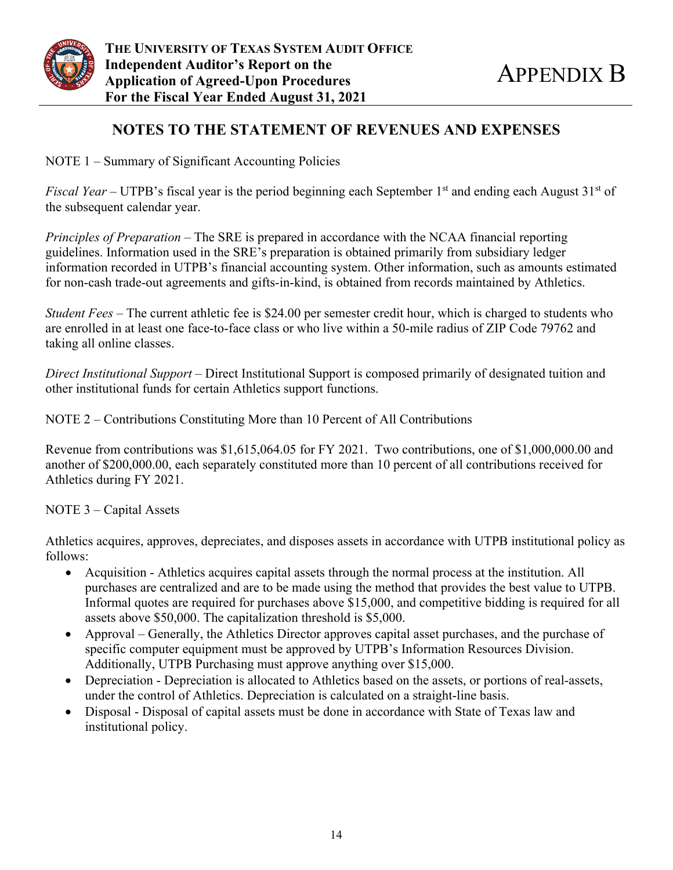

## **NOTES TO THE STATEMENT OF REVENUES AND EXPENSES**

NOTE 1 – Summary of Significant Accounting Policies

*Fiscal Year* – UTPB's fiscal year is the period beginning each September 1<sup>st</sup> and ending each August 31<sup>st</sup> of the subsequent calendar year.

*Principles of Preparation* – The SRE is prepared in accordance with the NCAA financial reporting guidelines. Information used in the SRE's preparation is obtained primarily from subsidiary ledger information recorded in UTPB's financial accounting system. Other information, such as amounts estimated for non-cash trade-out agreements and gifts-in-kind, is obtained from records maintained by Athletics.

*Student Fees* – The current athletic fee is \$24.00 per semester credit hour, which is charged to students who are enrolled in at least one face-to-face class or who live within a 50-mile radius of ZIP Code 79762 and taking all online classes.

*Direct Institutional Support* – Direct Institutional Support is composed primarily of designated tuition and other institutional funds for certain Athletics support functions.

NOTE 2 – Contributions Constituting More than 10 Percent of All Contributions

Revenue from contributions was \$1,615,064.05 for FY 2021. Two contributions, one of \$1,000,000.00 and another of \$200,000.00, each separately constituted more than 10 percent of all contributions received for Athletics during FY 2021.

NOTE 3 – Capital Assets

Athletics acquires, approves, depreciates, and disposes assets in accordance with UTPB institutional policy as follows:

- Acquisition Athletics acquires capital assets through the normal process at the institution. All purchases are centralized and are to be made using the method that provides the best value to UTPB. Informal quotes are required for purchases above \$15,000, and competitive bidding is required for all assets above \$50,000. The capitalization threshold is \$5,000.
- Approval Generally, the Athletics Director approves capital asset purchases, and the purchase of specific computer equipment must be approved by UTPB's Information Resources Division. Additionally, UTPB Purchasing must approve anything over \$15,000.
- Depreciation Depreciation is allocated to Athletics based on the assets, or portions of real-assets, under the control of Athletics. Depreciation is calculated on a straight-line basis.
- Disposal Disposal of capital assets must be done in accordance with State of Texas law and institutional policy.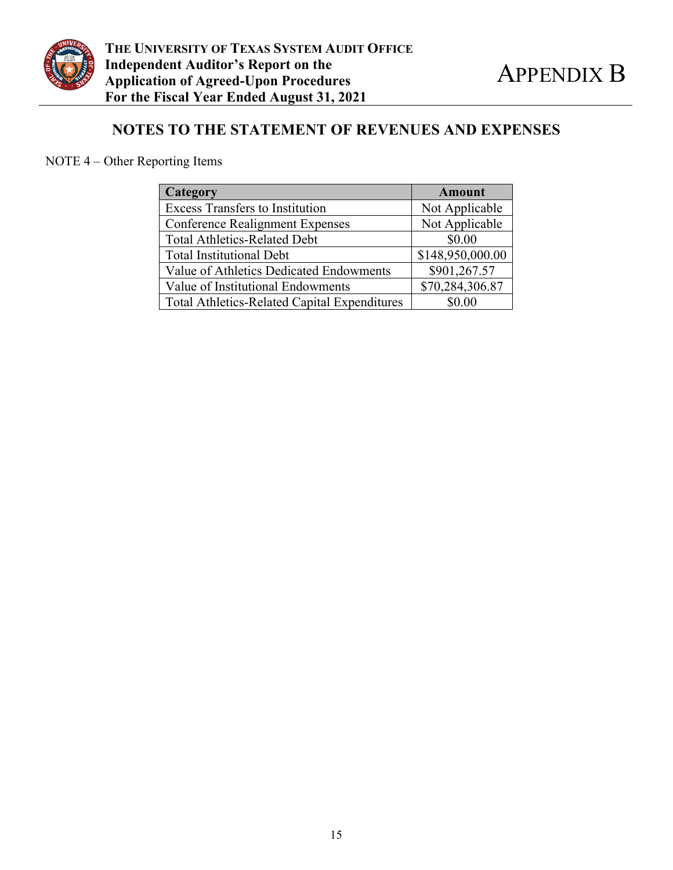

# **NOTES TO THE STATEMENT OF REVENUES AND EXPENSES**

# NOTE 4 – Other Reporting Items

| <b>Category</b>                                     | <b>Amount</b>    |
|-----------------------------------------------------|------------------|
| <b>Excess Transfers to Institution</b>              | Not Applicable   |
| <b>Conference Realignment Expenses</b>              | Not Applicable   |
| <b>Total Athletics-Related Debt</b>                 | \$0.00           |
| <b>Total Institutional Debt</b>                     | \$148,950,000.00 |
| Value of Athletics Dedicated Endowments             | \$901,267.57     |
| Value of Institutional Endowments                   | \$70,284,306.87  |
| <b>Total Athletics-Related Capital Expenditures</b> | \$0.00           |